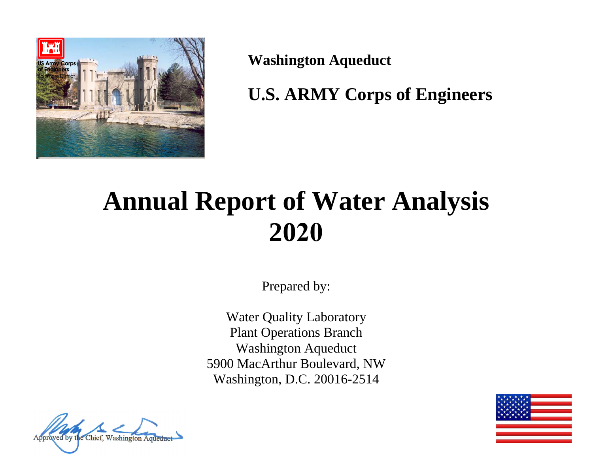

**Washington Aqueduct** 

**U.S. ARMY Corps of Engineers** 

# **Annual Report of Water Analysis 2020**

Prepared by:

Water Quality Laboratory Plant Operations Branch Washington Aqueduct 5900 MacArthur Boulevard, NW Washington, D.C. 20016-2514



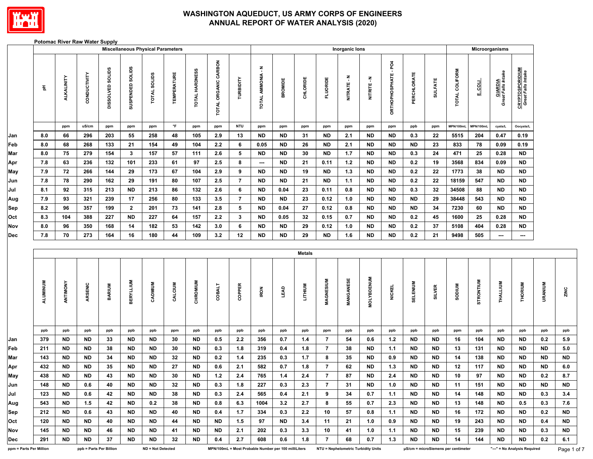

#### **Potomac River Raw Water Supply**

|                         |          |                   |                         |                  |                         | <b>Miscellaneous Physical Parameters</b> |                    |                |                      |                 |                          |                                                      |                |                  | Inorganic lons |                                     |                      |             |                |                                     |                  | Microorganisms                       |                                              |           |           |
|-------------------------|----------|-------------------|-------------------------|------------------|-------------------------|------------------------------------------|--------------------|----------------|----------------------|-----------------|--------------------------|------------------------------------------------------|----------------|------------------|----------------|-------------------------------------|----------------------|-------------|----------------|-------------------------------------|------------------|--------------------------------------|----------------------------------------------|-----------|-----------|
|                         | 품        | <b>ALKALINITY</b> | CONDUCTIVITY            | DISSOLVED SOLIDS | SUSPENDED SOLIDS        | TOTAL SOLIDS                             | <b>TEMPERATURE</b> | TOTAL HARDNESS | TOTAL ORGANIC CARBON | TURBIDITY       | TOTAL AMMONIA - N        | <b>BROMIDE</b>                                       | CHLORIDE       | <b>FLUORIDE</b>  | NITRATE-N      | NITRITE - N                         | ORTHOPHOSPHATE - PO4 | PERCHLORATE | <b>SULFATE</b> | TOTAL COLIFORM                      | <b>Froom</b>     | <b>GIARDIA</b><br>Great Falls Intake | <b>CRYPTOSPORIDIUM</b><br>Great Falls Intake |           |           |
|                         |          | ppm               | uS/cm                   | ppm              | ppm                     | ppm                                      | $\mathsf{P}$       | ppm            | ppm                  | <b>NTU</b>      | ppm                      | ppm                                                  | ppm            | ppm              | ppm            | ppm                                 | ppm                  | ppb         | ppm            | MPN/100mL                           | MPN/100mL        | cysts/L                              | Oocysts/L                                    |           |           |
| Jan                     | 8.0      | 66                | 296                     | 203              | 55                      | 258                                      | 48                 | 105            | 2.9                  | 13              | <b>ND</b>                | <b>ND</b>                                            | 31             | <b>ND</b>        | 2.1            | <b>ND</b>                           | <b>ND</b>            | 0.3         | 22             | 5515                                | 204              | 0.47                                 | 0.19                                         |           |           |
| Feb                     | 8.0      | 68                | 268                     | 133              | 21                      | 154                                      | 49                 | 104            | 2.2                  | 6               | 0.05                     | <b>ND</b>                                            | 26             | <b>ND</b>        | 2.1            | <b>ND</b>                           | <b>ND</b>            | <b>ND</b>   | 23             | 833                                 | 78               | 0.09                                 | 0.19                                         |           |           |
| Mar                     | 8.0      | 75                | 279                     | 154              | $\mathbf{3}$            | 157                                      | 57                 | 111            | 2.6                  | 5               | <b>ND</b>                | <b>ND</b>                                            | 30             | <b>ND</b>        | 1.7            | <b>ND</b>                           | <b>ND</b>            | 0.3         | 24             | 471                                 | 25               | $0.28\,$                             | <b>ND</b>                                    |           |           |
| Apr                     | 7.8      | 63                | 236                     | 132              | 101                     | 233                                      | 61                 | 97             | 2.5                  | 8               | $\hspace{0.05cm} \cdots$ | <b>ND</b>                                            | 21             | 0.11             | $1.2$          | <b>ND</b>                           | <b>ND</b>            | 0.2         | 19             | 3568                                | 834              | 0.09                                 | <b>ND</b>                                    |           |           |
| May                     | 7.9      | 72                | 266                     | 144              | 29                      | 173                                      | 67                 | 104            | 2.9                  | 9               | <b>ND</b>                | <b>ND</b>                                            | 19             | <b>ND</b>        | 1.3            | <b>ND</b>                           | <b>ND</b>            | 0.2         | 22             | 1773                                | 38               | <b>ND</b>                            | <b>ND</b>                                    |           |           |
| Jun                     | 7.8      | 78                | 290                     | 162              | 29                      | 191                                      | 80                 | 107            | $2.5\,$              | $\overline{7}$  | <b>ND</b>                | <b>ND</b>                                            | 21             | <b>ND</b>        | 1.1            | <b>ND</b>                           | <b>ND</b>            | $0.2\,$     | $\bf 22$       | 18159                               | 547              | $\sf ND$                             | ${\sf ND}$                                   |           |           |
| Jul                     | 8.1      | 92                | 315                     | 213              | <b>ND</b>               | 213                                      | 86                 | 132            | $2.6\,$              | 6               | <b>ND</b>                | 0.04                                                 | 23             | 0.11             | 0.8            | <b>ND</b>                           | <b>ND</b>            | 0.3         | 32             | 34508                               | 88               | <b>ND</b>                            | ${\sf ND}$                                   |           |           |
| Aug                     | 7.9      | 93                | 321                     | 239              | 17                      | 256                                      | 80                 | 133            | 3.5                  | $\overline{7}$  | <b>ND</b>                | <b>ND</b>                                            | 23             | 0.12             | 1.0            | <b>ND</b>                           | <b>ND</b>            | ${\sf ND}$  | 29             | 38448                               | 543              | <b>ND</b>                            | ${\sf ND}$                                   |           |           |
| Sep                     | 8.2      | 96                | 357                     | 199              | $\overline{\mathbf{2}}$ | 201                                      | 73                 | 141            | 2.8                  | $5\phantom{.0}$ | <b>ND</b>                | 0.04                                                 | 27             | 0.12             | 0.8            | <b>ND</b>                           | <b>ND</b>            | <b>ND</b>   | 34             | 7230                                | 60               | <b>ND</b>                            | <b>ND</b>                                    |           |           |
| Oct                     | 8.3      | 104               | 388                     | 227              | <b>ND</b>               | 227                                      | 64                 | 157            | 2.2                  | $\mathbf{3}$    | <b>ND</b>                | 0.05                                                 | 32             | 0.15             | 0.7            | <b>ND</b>                           | <b>ND</b>            | 0.2         | 45             | 1600                                | 25               | 0.28                                 | $\sf ND$                                     |           |           |
| Nov                     | 8.0      | 96                | 350                     | 168              | 14                      | 182                                      | 53                 | 142            | 3.0                  | 6               | <b>ND</b>                | <b>ND</b>                                            | 29             | 0.12             | 1.0            | <b>ND</b>                           | <b>ND</b>            | $0.2\,$     | 37             | 5108                                | 404              | 0.28                                 | $\sf ND$                                     |           |           |
| <b>Dec</b>              | 7.8      | 70                | 273                     | 164              | 16                      | 180                                      | 44                 | 109            | 3.2                  | 12              | <b>ND</b>                | <b>ND</b>                                            | 29             | <b>ND</b>        | 1.6            | <b>ND</b>                           | <b>ND</b>            | 0.2         | 21             | 9498                                | 505              | $\hspace{0.05cm} \cdots$             | ---                                          |           |           |
|                         |          |                   |                         |                  |                         |                                          |                    |                |                      |                 |                          |                                                      | Metals         |                  |                |                                     |                      |             |                |                                     |                  |                                      |                                              |           |           |
|                         | ALUMINUM | ANTIMONY          | ARSENIC                 | <b>BARIUM</b>    | <b>BERYLLIUM</b>        | CADMIUM                                  | CALCIUM            | CHROMIUM       | <b>COBALT</b>        | COPPER          | IRON                     | <b>GY3</b>                                           | <b>LITHIUM</b> | <b>MAGNESIUM</b> | MANGANESE      | <b>MOLYBDENUM</b>                   | <b>NICKEL</b>        | SELENIUM    | <b>SILVER</b>  | <b>NUIGOS</b>                       | <b>STRONTIUM</b> | THALLIUM                             | <b>THORIUM</b>                               | URANIUM   | ZINC      |
|                         | ppb      | ppb               | ppb                     | ppb              | ppb                     | ppb                                      | ppm                | ppb            | ppb                  | ppb             | ppb                      | ppb                                                  | ppb            | ppm              | ppb            | ppb                                 | ppb                  | ppb         | ppb            | ppm                                 | ppb              | ppb                                  | ppb                                          | ppb       | ppb       |
| Jan                     | 379      | <b>ND</b>         | <b>ND</b>               | 33               | <b>ND</b>               | <b>ND</b>                                | 30                 | <b>ND</b>      | 0.5                  | 2.2             | 356                      | 0.7                                                  | 1.4            | $\overline{7}$   | 54             | 0.6                                 | $1.2$                | <b>ND</b>   | ND             | 16                                  | 104              | <b>ND</b>                            | <b>ND</b>                                    | 0.2       | 5.9       |
| Feb                     | 211      | <b>ND</b>         | <b>ND</b>               | 38               | <b>ND</b>               | <b>ND</b>                                | 30                 | <b>ND</b>      | 0.3                  | 1.8             | 319                      | 0.4                                                  | 1.8            | $\overline{7}$   | 38             | <b>ND</b>                           | 1.1                  | <b>ND</b>   | ND             | 13                                  | 131              | <b>ND</b>                            | <b>ND</b>                                    | <b>ND</b> | 5.0       |
| Mar                     | 143      | <b>ND</b>         | <b>ND</b>               | 34               | <b>ND</b>               | <b>ND</b>                                | 32                 | <b>ND</b>      | 0.2                  | $1.4$           | 235                      | 0.3                                                  | 1.7            | 8                | 35             | <b>ND</b>                           | 0.9                  | <b>ND</b>   | ND             | 14                                  | 138              | <b>ND</b>                            | <b>ND</b>                                    | <b>ND</b> | <b>ND</b> |
| Apr                     | 432      | <b>ND</b>         | <b>ND</b>               | 35               | <b>ND</b>               | <b>ND</b>                                | 27                 | <b>ND</b>      | 0.6                  | 2.1             | 582                      | $0.7\,$                                              | $1.8$          | $\overline{7}$   | 62             | <b>ND</b>                           | 1.3                  | <b>ND</b>   | ND             | 12                                  | 117              | <b>ND</b>                            | <b>ND</b>                                    | <b>ND</b> | 6.0       |
| May                     | 438      | <b>ND</b>         | <b>ND</b>               | 43               | <b>ND</b>               | <b>ND</b>                                | 30                 | <b>ND</b>      | $1.2$                | 2.4             | 765                      | 1.4                                                  | $2.4\,$        | $\overline{7}$   | 87             | <b>ND</b>                           | 2.4                  | <b>ND</b>   | <b>ND</b>      | 10                                  | 97               | <b>ND</b>                            | <b>ND</b>                                    | 0.2       | 8.7       |
| Jun                     | 148      | ND.               | 0.6                     | 40               | ND                      | ND                                       | 32                 | ND             | 0.3                  | 1.8             | 227                      | 0.3                                                  | 2.3            | $\overline{7}$   | 31             | ND                                  | 1.0                  | ND          | ND             | 11                                  | 151              | ND                                   | ND                                           | ND.       | <b>ND</b> |
| Jul                     | 123      | ND.               | 0.6                     | 42               | ND                      | ND                                       | 38                 | <b>ND</b>      | 0.3                  | 2.4             | 565                      | 0.4                                                  | 2.1            | 9                | 34             | 0.7                                 | 1.1                  | <b>ND</b>   | ND.            | 14                                  | 148              | <b>ND</b>                            | <b>ND</b>                                    | 0.3       | 3.4       |
| Aug                     | 543      | ND.               | 1.5                     | 42               | ND                      | 0.2                                      | 38                 | <b>ND</b>      | 0.8                  | 6.3             | 1004                     | 3.2                                                  | 2.7            | 8                | 55             | 0.7                                 | 2.3                  | <b>ND</b>   | ND.            | 13                                  | 148              | ND                                   | 0.5                                          | 0.3       | 7.6       |
| Sep                     | 212      | ND.               | 0.6                     | 43               | ND                      | ND.                                      | 40                 | ND.            | 0.4                  | 1.7             | 334                      | 0.3                                                  | 2.2            | 10               | 57             | 0.8                                 | 1.1                  | ND.         | ND.            | 16                                  | 172              | ND                                   | ND                                           | 0.2       | <b>ND</b> |
| Oct                     | 120      | ND.               | ND.                     | 40               | ND                      | ND                                       | 44                 | ND.            | ND                   | 1.5             | 97                       | ND                                                   | 3.4            | 11               | 21             | 1.0                                 | 0.9                  | ND.         | ND.            | 19                                  | 243              | ND                                   | ND.                                          | 0.4       | <b>ND</b> |
| Nov                     | 145      | ND.               | ND.                     | 46               | ND                      | ND                                       | 41                 | ND.            | ND                   | 2.1             | 202                      | 0.3                                                  | 3.3            | 10               | 41             | 1.0                                 | 1.1                  | ND          | ND.            | 15                                  | 239              | ND.                                  | ND                                           | 0.3       | <b>ND</b> |
| Dec                     | 291      | ND.               | ND                      | 37               | ND                      | ND                                       | 32                 | ND             | 0.4                  | 2.7             | 608                      | 0.6                                                  | 1.8            | 7                | 68             | 0.7                                 | 1.3                  | ND.         | ND.            | 14                                  | 144              | ND                                   | ND                                           | 0.2       | 6.1       |
| ppm = Parts Per Million |          |                   | ppb = Parts Per Billion |                  |                         | ND = Not Detected                        |                    |                |                      |                 |                          | MPN/100mL = Most Probable Number per 100 milliLiters |                |                  |                | NTU = Nephelometric Turbidity Units |                      |             |                | µS/cm = microSiemens per centimeter |                  |                                      | "---" = No Analysis Required                 |           | Page      |

Page 1 of 7

**ND** 

 $\sf ND$ 

 $6.1$ 

 $5.0$ 

**ND**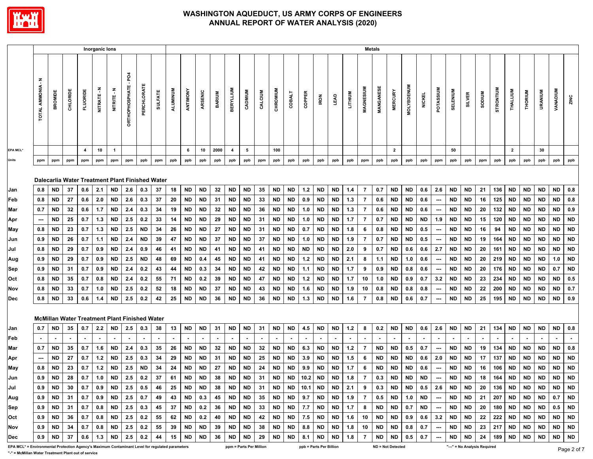

|                                                                                                 |                           |                                                      |          |                | Inorganic lons |                |                            |             |                |          |           |           |               |                          |                         |         |           |                          |        |                         |           |                |                | <b>Metals</b> |                          |                   |               |                          |           |                              |               |           |                |           |                |                 |               |
|-------------------------------------------------------------------------------------------------|---------------------------|------------------------------------------------------|----------|----------------|----------------|----------------|----------------------------|-------------|----------------|----------|-----------|-----------|---------------|--------------------------|-------------------------|---------|-----------|--------------------------|--------|-------------------------|-----------|----------------|----------------|---------------|--------------------------|-------------------|---------------|--------------------------|-----------|------------------------------|---------------|-----------|----------------|-----------|----------------|-----------------|---------------|
|                                                                                                 | Ŧ<br><b>TOTAL AMMONIA</b> | BROMIDE                                              | CHLORIDE | FLUORIDE       | NITRATE - N    | NITRITE-N      | ğ<br><b>ORTHOPHOSPHATE</b> | PERCHLORATE | <b>SULFATE</b> | ALUMINUM | ANTIMONY  | ARSENIC   | <b>BARIUM</b> | <b>BERYLLIUM</b>         | CADMIUM                 | CALCIUM | CHROMIUM  | <b>COBALT</b>            | COPPER | <b>IRON</b>             | LEAD      | LITHIUM        | MAGNESIUM      | MANGANESE     | <b>MERCURY</b>           | <b>MOLYBDENUM</b> | <b>NICKEL</b> | POTASSIUM                | SELENIUM  | <b>SILVER</b>                | <b>MUIDOS</b> | STRONTIUM | THALLIUM       | THORIUM   | <b>URANIUM</b> | <b>VANADIUM</b> | ZINC          |
| <b>EPA MCL*</b>                                                                                 |                           |                                                      |          | $\overline{4}$ | 10             | $\overline{1}$ |                            |             |                |          | 6         | 10        | 2000          | $\overline{4}$           | 5                       |         | 100       |                          |        |                         |           |                |                |               | $\overline{2}$           |                   |               |                          | 50        |                              |               |           | $\overline{2}$ |           | 30             |                 |               |
| Units                                                                                           | ppm                       | ppm                                                  | ppm      | ppm            | ppm            | ppm            | ppm                        | ppb         | ppm            | ppb      | ppb       | ppb       | ppb           | ppb                      | ppb                     | ppm     | ppb       | ppb                      | ppb    | ppb                     | ppb       | ppb            | ppm            | ppb           | ppb                      | ppb               | ppb           | ppm                      | ppb       | ppb                          | ppm           | ppb       | ppb            | ppb       | ppb            | ppb             | ppb           |
|                                                                                                 |                           | Dalecarlia Water Treatment Plant Finished Water      |          |                |                |                |                            |             |                |          |           |           |               |                          |                         |         |           |                          |        |                         |           |                |                |               |                          |                   |               |                          |           |                              |               |           |                |           |                |                 |               |
| Jan                                                                                             | 0.8                       | <b>ND</b>                                            | 37       | 0.6            | 2.1            | <b>ND</b>      | 2.6                        | 0.3         | 37             | 18       | <b>ND</b> | <b>ND</b> | 32            | <b>ND</b>                | <b>ND</b>               | 35      | <b>ND</b> | <b>ND</b>                | $1.2$  | ND                      | <b>ND</b> | 1.4            | 7              | 0.7           | <b>ND</b>                | <b>ND</b>         | 0.6           | 2.6                      | <b>ND</b> | <b>ND</b>                    | 21            | 136       | <b>ND</b>      | <b>ND</b> | <b>ND</b>      | <b>ND</b>       | 0.8           |
| Feb                                                                                             | 0.8                       | <b>ND</b>                                            | 27       | 0.6            | 2.0            | ND             | 2.6                        | 0.3         | 37             | 20       | <b>ND</b> | <b>ND</b> | 31            | <b>ND</b>                | <b>ND</b>               | 33      | <b>ND</b> | ND                       | 0.9    | ND                      | ND        | 1.3            | $\overline{7}$ | 0.6           | <b>ND</b>                | <b>ND</b>         | 0.6           | ---                      | <b>ND</b> | <b>ND</b>                    | 16            | 125       | <b>ND</b>      | <b>ND</b> | <b>ND</b>      | <b>ND</b>       | 0.8           |
| Mar                                                                                             | 0.7                       | <b>ND</b>                                            | 32       | 0.6            | 1.7            | ND             | 2.4                        | 0.3         | 34             | 19       | <b>ND</b> | <b>ND</b> | 32            | <b>ND</b>                | <b>ND</b>               | 36      | <b>ND</b> | ND                       | 1.0    | ND                      | ND        | 1.3            | $\overline{7}$ | 0.6           | <b>ND</b>                | <b>ND</b>         | 0.6           | $\hspace{0.05cm} \cdots$ | <b>ND</b> | <b>ND</b>                    | 20            | 132       | <b>ND</b>      | <b>ND</b> | <b>ND</b>      | <b>ND</b>       | 0.9           |
| Apr                                                                                             | $\overline{\phantom{a}}$  | <b>ND</b>                                            | 25       | 0.7            | 1.3            | ND             | 2.5                        | 0.2         | 33             | 14       | <b>ND</b> | <b>ND</b> | 29            | <b>ND</b>                | <b>ND</b>               | 31      | <b>ND</b> | <b>ND</b>                | 1.0    | ND                      | ND        | 1.7            | 7              | 0.7           | <b>ND</b>                | <b>ND</b>         | <b>ND</b>     | 1.9                      | <b>ND</b> | <b>ND</b>                    | 15            | 120       | <b>ND</b>      | <b>ND</b> | ND.            | ND              | <b>ND</b>     |
| May                                                                                             | 0.8                       | ND                                                   | 23       | 0.7            | 1.3            | <b>ND</b>      | 2.5                        | <b>ND</b>   | 34             | 26       | <b>ND</b> | ND        | 27            | <b>ND</b>                | <b>ND</b>               | 31      | ND        | ND                       | 0.7    | ND                      | ND        | 1.8            | 6              | 0.8           | ND                       | <b>ND</b>         | 0.5           | $\hspace{0.05cm} \cdots$ | <b>ND</b> | <b>ND</b>                    | 16            | 94        | <b>ND</b>      | <b>ND</b> | ND.            | ND.             | <b>ND</b>     |
| Jun                                                                                             | 0.9                       | <b>ND</b>                                            | 26       | 0.7            | 1.1            | <b>ND</b>      | 2.4                        | <b>ND</b>   | 39             | 47       | <b>ND</b> | <b>ND</b> | 37            | <b>ND</b>                | <b>ND</b>               | 37      | <b>ND</b> | <b>ND</b>                | 1.0    | ND                      | ND        | 1.9            | - 7            | 0.7           | <b>ND</b>                | <b>ND</b>         | 0.5           | ---                      | <b>ND</b> | <b>ND</b>                    | 19            | 164       | <b>ND</b>      | <b>ND</b> | <b>ND</b>      | <b>ND</b>       | <b>ND</b>     |
| Jul                                                                                             | 0.8                       | <b>ND</b>                                            | 29       | 0.7            | 0.9            | <b>ND</b>      | 2.4                        | 0.9         | 46             | 41       | <b>ND</b> | <b>ND</b> | 41            | <b>ND</b>                | <b>ND</b>               | 41      | <b>ND</b> | <b>ND</b>                | ND     | ND                      | ND        | 2.0            | 9              | 0.7           | <b>ND</b>                | 0.6               | 0.6           | 2.7                      | <b>ND</b> | <b>ND</b>                    | 20            | 161       | <b>ND</b>      | ND        | <b>ND</b>      | ND              | <b>ND</b>     |
| Aug                                                                                             | 0.9                       | <b>ND</b>                                            | 29       | 0.7            | 0.9            | ND             | 2.5                        | <b>ND</b>   | 48             | 69       | <b>ND</b> | 0.4       | 45            | <b>ND</b>                | <b>ND</b>               | 41      | <b>ND</b> | ND                       | $1.2$  | <b>ND</b>               | ND        | 2.1            | 8              | 1.1           | <b>ND</b>                | 1.0               | 0.6           | $\hspace{0.05cm} \cdots$ | <b>ND</b> | <b>ND</b>                    | 20            | 219       | <b>ND</b>      | <b>ND</b> | <b>ND</b>      | 1.0             | <b>ND</b>     |
| Sep                                                                                             | 0.9                       | <b>ND</b>                                            | 31       | 0.7            | 0.9            | <b>ND</b>      | 2.4                        | 0.2         | 43             | 44       | <b>ND</b> | 0.3       | 34            | <b>ND</b>                | <b>ND</b>               | 42      | <b>ND</b> | <b>ND</b>                | 1.1    | ND                      | ND        | 1.7            | 9              | 0.9           | ND                       | 0.8               | 0.6           | ---                      | <b>ND</b> | <b>ND</b>                    | 20            | 176       | <b>ND</b>      | ND        | ND             | 0.7             | <b>ND</b>     |
| Oct                                                                                             | 0.8                       | ND                                                   | 35       | 0.7            | 0.8            | ND             | 2.4                        | 0.2         | 55             | 71       | <b>ND</b> | 0.2       | 39            | <b>ND</b>                | <b>ND</b>               | 47      | <b>ND</b> | <b>ND</b>                | $1.2$  | ND                      | ND        | 1.7            | 10             | 1.0           | ND                       | 0.9               | 0.7           | 3.2                      | <b>ND</b> | <b>ND</b>                    | 23            | 234       | <b>ND</b>      | <b>ND</b> | ND.            | ND.             | 0.5           |
| Nov                                                                                             | 0.8                       | <b>ND</b>                                            | 33       | 0.7            | 1.0            | <b>ND</b>      | 2.5                        | 0.2         | 52             | 18       | ND        | <b>ND</b> | 37            | <b>ND</b>                | <b>ND</b>               | 43      | <b>ND</b> | <b>ND</b>                | 1.6    | ND                      | ND        | 1.9            | 10             | 0.8           | <b>ND</b>                | 0.8               | 0.8           | $\hspace{0.05cm} \cdots$ | <b>ND</b> | <b>ND</b>                    | 22            | 200       | <b>ND</b>      | <b>ND</b> | <b>ND</b>      | <b>ND</b>       | 0.7           |
| Dec                                                                                             | 0.8                       | <b>ND</b>                                            | 33       | 0.6            | 1.4            | <b>ND</b>      | 2.5                        | 0.2         | 42             | 25       | <b>ND</b> | <b>ND</b> | 36            | <b>ND</b>                | <b>ND</b>               | 36      | <b>ND</b> | <b>ND</b>                | 1.3    | ND                      | <b>ND</b> | 1.6            | -7             | 0.8           | <b>ND</b>                | 0.6               | 0.7           | ---                      | <b>ND</b> | <b>ND</b>                    | 25            | 195       | <b>ND</b>      | <b>ND</b> | <b>ND</b>      | <b>ND</b>       | 0.9           |
|                                                                                                 |                           | <b>McMillan Water Treatment Plant Finished Water</b> |          |                |                |                |                            |             |                |          |           |           |               |                          |                         |         |           |                          |        |                         |           |                |                |               |                          |                   |               |                          |           |                              |               |           |                |           |                |                 |               |
| Jan                                                                                             | 0.7                       | ND                                                   | 35       | 0.7            | 2.2            | ND             | 2.5                        | 0.3         | 38             | 13       | <b>ND</b> | <b>ND</b> | 31            | <b>ND</b>                | <b>ND</b>               | 31      | <b>ND</b> | <b>ND</b>                | 4.5    | <b>ND</b>               | ND        | 1.2            | 8              | 0.2           | <b>ND</b>                | <b>ND</b>         | 0.6           | 2.6                      | <b>ND</b> | <b>ND</b>                    | 21            | 134       | <b>ND</b>      | ND        | ND             | ND              | 0.8           |
| Feb                                                                                             | $\sim$                    | $\blacksquare$                                       |          |                |                |                |                            |             |                |          |           |           |               | $\overline{\phantom{a}}$ | $\sim$                  | $\sim$  | $\sim$    | $\overline{\phantom{a}}$ |        |                         |           | $\blacksquare$ |                |               |                          |                   |               | $\sim$                   |           | $\sim$                       |               |           |                |           |                |                 | $\sim$        |
| Mar                                                                                             | 0.7                       | <b>ND</b>                                            | 35       | 0.7            | 1.6            | ND             | 2.4                        | 0.3         | 35             | 26       | ND        | <b>ND</b> | 32            | <b>ND</b>                | ND                      | 32      | ND        | ND                       | 6.3    | ND                      | ND        | 1.2            | $\overline{7}$ | <b>ND</b>     | <b>ND</b>                | 0.5               | 0.7           | $\overline{\phantom{a}}$ | ND        | ND                           | 19            | 134       | ND             | ND        | ND.            | <b>ND</b>       | 0.8           |
| Apr                                                                                             | $\cdots$                  | <b>ND</b>                                            | 27       | 0.7            | 1.2            | ND             | 2.5                        | 0.3         | 34             | 29       | <b>ND</b> | <b>ND</b> | 31            | <b>ND</b>                | <b>ND</b>               | 25      | <b>ND</b> | <b>ND</b>                | 3.9    | <b>ND</b>               | ND        | 1.5            | 6              | <b>ND</b>     | <b>ND</b>                | <b>ND</b>         | 0.6           | 2.0                      | <b>ND</b> | <b>ND</b>                    | 17            | 137       | <b>ND</b>      | <b>ND</b> | <b>ND</b>      | <b>ND</b>       | <b>ND</b>     |
| May                                                                                             | 0.8                       | <b>ND</b>                                            | 23       | 0.7            | 1.2            | <b>ND</b>      | 2.5                        | <b>ND</b>   | 34             | 24       | ND        | ND        | 27            | <b>ND</b>                | <b>ND</b>               | 24      | <b>ND</b> | <b>ND</b>                | 9.9    | ND                      | ND        | 1.7            | 6              | <b>ND</b>     | ND                       | <b>ND</b>         | 0.6           | $\overline{\phantom{a}}$ | <b>ND</b> | <b>ND</b>                    | 16            | 106       | <b>ND</b>      | ND        | ND             | ND              | <b>ND</b>     |
| Jun                                                                                             | 0.9                       | <b>ND</b>                                            | 28       | 0.7            | 1.0            | <b>ND</b>      | 2.5                        | 0.2         | 37             | 61       | <b>ND</b> | <b>ND</b> | 38            | <b>ND</b>                | <b>ND</b>               | 31      | <b>ND</b> | <b>ND</b>                | 10.2   | <b>ND</b>               | <b>ND</b> | 1.8            | -7             | 0.3           | <b>ND</b>                | <b>ND</b>         | <b>ND</b>     | $\hspace{0.05cm} \cdots$ | <b>ND</b> | <b>ND</b>                    | 18            | 164       | <b>ND</b>      | <b>ND</b> | <b>ND</b>      | <b>ND</b>       | <b>ND</b>     |
| Jul                                                                                             | 0.9                       | <b>ND</b>                                            | 30       | 0.7            | 0.9            | ND             | 2.5                        | 0.5         | 46             | 25       | ND        | <b>ND</b> | 38            | ND                       | ND                      | 31      | ND        | ND                       | 10.1   | ND.                     | ND        | 2.1            | 9              | 0.3           | <b>ND</b>                | ND                | 0.5           | 2.6                      | ND        | ND                           | 20            | 136       | ND             | <b>ND</b> | ND.            | ND.             | <b>ND</b>     |
| Aug                                                                                             | 0.9                       | ND                                                   | 31       | 0.7            | 0.9            | ND             | 2.5                        | 0.7         | 49             | 43       | <b>ND</b> | 0.3       | 45            | <b>ND</b>                | ND                      | 35      | ND        | ND                       | 9.7    | ND                      | ND        | 1.9            | -7             | 0.5           | <b>ND</b>                | 1.0               | <b>ND</b>     | ---                      | ND        | ND                           | 21            | 207       | ND             | ND.       | ND.            | 0.7             | <b>ND</b>     |
| Sep                                                                                             | 0.9                       | ND                                                   | 31       | 0.7            | 0.8            | ND             | 2.5                        | 0.3         | 45             | 37       | <b>ND</b> | 0.2       | 36            | <b>ND</b>                | <b>ND</b>               | 33      | <b>ND</b> | <b>ND</b>                | 7.7    | ND                      | ND        | 1.7            | 8              | <b>ND</b>     | ND                       | 0.7               | <b>ND</b>     | $\hspace{0.05cm} \cdots$ | ND        | ND                           | 20            | 180       | <b>ND</b>      | <b>ND</b> | <b>ND</b>      | 0.5             | <b>ND</b>     |
| Oct                                                                                             | 0.9                       | ND                                                   | 36       | 0.7            | 0.8            | ND             | 2.5                        | 0.2         | 55             | 62       | <b>ND</b> | 0.2       | 40            | <b>ND</b>                | ND                      | 42      | ND        | ND                       | 7.5    | <b>ND</b>               | ND        | 1.6            | 10             | ND            | ND                       | 0.9               | 0.6           | 3.2                      | <b>ND</b> | ND                           | 22            | 222       | ND.            | ND.       | ND.            | ND              | <b>ND</b>     |
| Nov                                                                                             | 0.9                       | ND.                                                  | 34       | 0.7            | 0.8            | ND             | 2.5                        | 0.2         | 55             | 39       | ND        | ND.       | 39            | <b>ND</b>                | ND                      | 38      | ND        | ND.                      | 8.8    | ND                      | ND        | 1.8            | 10             | ND            | <b>ND</b>                | 0.8               | 0.7           | $\overline{\phantom{a}}$ | ND        | ND                           | 23            | 217       | ND.            | <b>ND</b> | ND.            | ND.             | <b>ND</b>     |
| Dec                                                                                             | 0.9                       | ND                                                   | 37       | 0.6            | 1.3            | ND.            | 2.5                        | 0.2         | 44             | 15       | <b>ND</b> | ND        | 36            | ND                       | ND                      | 29      | ND        | ND                       | 8.1    | ND                      | ND        | 1.8            | -7             | ND            | <b>ND</b>                | 0.5               | 0.7           | $\hspace{0.05cm} \cdots$ | ND        | ND                           | 24            | 189       | <b>ND</b>      | ND.       | ND             | ND              | <b>ND</b>     |
| EPA MCL* = Environmental Protection Agency's Maximum Contaminant Level for regulated parameters |                           |                                                      |          |                |                |                |                            |             |                |          |           |           |               |                          | ppm = Parts Per Million |         |           |                          |        | ppb = Parts Per Billion |           |                |                |               | <b>ND = Not Detected</b> |                   |               |                          |           | "---" = No Analysis Required |               |           |                |           |                |                 | $D_{200}$ 2 c |

**"-" = McMillan Water Treatment Plant out of service**

Page 2 of 7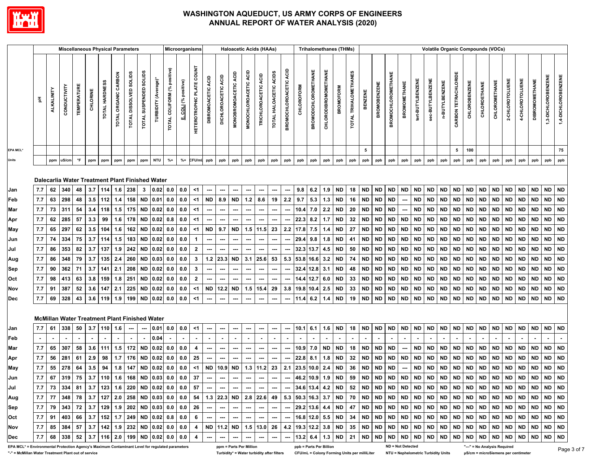

|                                                                                                 |       |                   | <b>Miscellaneous Physical Parameters</b> |                    |          |                |                      |                                  |                          |                                                                 |                                |                   | Microorganisms            |                              |                          |                      |                          | <b>Haloacetic Acids (HAAs)</b> |                        |                               |                   | <b>Trihalomethanes (THMs)</b> |                      |                  |                       |                |                     |                           |                          |                   |                  |                |                      | <b>Volatile Organic Compounds (VOCs)</b> |              |               |                 |                 |                       |                     |                     |
|-------------------------------------------------------------------------------------------------|-------|-------------------|------------------------------------------|--------------------|----------|----------------|----------------------|----------------------------------|--------------------------|-----------------------------------------------------------------|--------------------------------|-------------------|---------------------------|------------------------------|--------------------------|----------------------|--------------------------|--------------------------------|------------------------|-------------------------------|-------------------|-------------------------------|----------------------|------------------|-----------------------|----------------|---------------------|---------------------------|--------------------------|-------------------|------------------|----------------|----------------------|------------------------------------------|--------------|---------------|-----------------|-----------------|-----------------------|---------------------|---------------------|
|                                                                                                 | 玉     | <b>ALKALINITY</b> | CONDUCTIVITY                             | <b>TEMPERATURE</b> | CHLORINE | TOTAL HARDNESS | TOTAL ORGANIC CARBON | <b>SOLIDS</b><br>TOTAL DISSOLVED | TOTAL SUSPENDED SOLIDS   | TURBIDITY (Average)*                                            | positive)<br>TOTAL COLIFORM (% | COLI (% positive) | HETEROTROPHIC PLATE COUNT | ACID<br><b>DIBROMOACETIC</b> | DICHLOROACETIC ACID      | MONOBROMOACETIC ACID | MONOCHLOROACETIC ACID    | TRICHLOROACETIC ACID           | TOTAL HALOACETIC ACIDS | <b>BROMOCHLOROACETIC ACID</b> | <b>CHLOROFORM</b> | <b>BROMODICHLOROMETHANE</b>   | CHLORODIBROMOMETHANE | <b>BROMOFORM</b> | TOTAL TRIHALOMETHANES | <b>BENZENE</b> | <b>BROMOBENZENE</b> | <b>BROMOCHLOROMETHANE</b> | <b>BROMOMETHANE</b>      | tert-BUTYLBENZENE | sec-BUTYLBENZENE | n-BUTYLBENZENE | CARBON TETRACHLORIDE | CHLOROBENZENE                            | CHLOROETHANE | CHLOROMETHANE | 2-CHLOROTOLUENE | 4-CHLOROTOLUENE | <b>DIBROMOMETHANE</b> | 1,3-DICHLOROBENZENE | 1,4-DICHLOROBENZENE |
| <b>EPA MCL*</b>                                                                                 |       |                   |                                          |                    |          |                |                      |                                  |                          |                                                                 |                                |                   |                           |                              |                          |                      |                          |                                |                        |                               |                   |                               |                      |                  |                       | 5              |                     |                           |                          |                   |                  |                | 5                    | 100                                      |              |               |                 |                 |                       |                     | 75                  |
| <b>Units</b>                                                                                    |       | ppm               | uS/cm                                    | $\mathsf{P}$       | ppm      | ppm            | ppm                  | ppm                              | ppm                      | <b>NTU</b>                                                      | $% +$                          | $% +$             | CFU/mL ppb                |                              | ppb                      | ppb                  | ppb                      | ppb                            | ppb                    | ppb                           | ppb               | ppb                           | ppb                  | ppb              | ppb                   | ppb            | ppb                 | ppb                       | ppb                      | ppb               | ppb              | ppb            | ppb                  | ppb                                      | ppb          | ppb           | ppb             | ppb             | ppb                   | ppb                 | ppb                 |
| Jan                                                                                             | 7.7   | 62                | 340                                      | 48                 | 3.7      | 114            | 1.6                  | 238                              | $\mathbf{3}$             | Dalecarlia Water Treatment Plant Finished Water<br>$0.02 \ 0.0$ |                                | 0.0               | $<$ 1                     | ---                          | ---                      | ---                  |                          |                                |                        | ---                           | 9.8               | 6.2                           | 1.9                  | <b>ND</b>        | 18                    | <b>ND</b>      | <b>ND</b>           | <b>ND</b>                 | <b>ND</b>                | <b>ND</b>         | <b>ND</b>        | <b>ND</b>      | <b>ND</b>            | <b>ND</b>                                | <b>ND</b>    | <b>ND</b>     | <b>ND</b>       | ND              | <b>ND</b>             |                     | ND ND               |
| Feb                                                                                             | $7.7$ | 63                | 298                                      | 48                 | 3.5      | 112            | 1.4                  | 158                              | <b>ND</b>                | 0.01                                                            | 0.0                            | 0.0               | $<$ 1                     | <b>ND</b>                    | 8.9                      | <b>ND</b>            | $1.2$                    | 8.6                            | 19                     | 2.2                           | 9.7               | 5.3                           | 1.3                  | <b>ND</b>        | 16                    | <b>ND</b>      | <b>ND</b>           | <b>ND</b>                 | ---                      | <b>ND</b>         | <b>ND</b>        | $\sf ND$       | <b>ND</b>            | <b>ND</b>                                | <b>ND</b>    | $\sf ND$      | <b>ND</b>       | <b>ND</b>       | <b>ND</b>             |                     | ND ND               |
| Mar                                                                                             | 7.7   | 73                | 311                                      | 54                 | 3.4      | 118            | 1.5                  | 175                              | <b>ND</b>                | $0.02$ 0.0                                                      |                                | 0.0               | <1                        |                              | $\overline{\phantom{a}}$ |                      |                          |                                |                        | ---                           |                   | 10.4 7.0                      | 2.2                  | <b>ND</b>        | 20                    | <b>ND</b>      | <b>ND</b>           | <b>ND</b>                 |                          | <b>ND</b>         | <b>ND</b>        | <b>ND</b>      | <b>ND</b>            | <b>ND</b>                                | <b>ND</b>    | <b>ND</b>     | <b>ND</b>       | <b>ND</b>       | <b>ND</b>             |                     | ND ND               |
| Apr                                                                                             | $7.7$ | 62                | 285                                      | 57                 | 3.3      | 99             | 1.6                  | 178                              | <b>ND</b>                | $0.02 \ 0.8$                                                    |                                | 0.0               | $<$ 1                     |                              |                          |                      |                          |                                |                        |                               | 22.3              | 8.2                           | 1.7                  | <b>ND</b>        | 32                    | <b>ND</b>      | <b>ND</b>           | <b>ND</b>                 | <b>ND</b>                | <b>ND</b>         | <b>ND</b>        | <b>ND</b>      | <b>ND</b>            | <b>ND</b>                                | <b>ND</b>    | <b>ND</b>     | <b>ND</b>       | <b>ND</b>       | <b>ND</b>             |                     | ND ND               |
| <b>May</b>                                                                                      | $7.7$ | 65                | 297                                      | 62                 | 3.5      | 104            | 1.6                  | 162                              | <b>ND</b>                | 0.02                                                            | 0.0                            | 0.0               | $<$ 1                     | ND                           | 9.7                      | <b>ND</b>            | 1.5                      | 11.5                           | 23                     | $2.2\,$                       | 17.8              | 7.5                           | 1.4                  | <b>ND</b>        | 27                    | <b>ND</b>      | <b>ND</b>           | $\sf ND$                  | <b>ND</b>                | <b>ND</b>         | <b>ND</b>        | <b>ND</b>      | <b>ND</b>            | <b>ND</b>                                | <b>ND</b>    | <b>ND</b>     | <b>ND</b>       | <b>ND</b>       | <b>ND</b>             |                     | ND ND               |
| Jun                                                                                             | 7.7   | 74                | 334                                      | 75                 | 3.7      | 114            | 1.5                  | 183                              | <b>ND</b>                | $0.02 \ 0.0$                                                    |                                | 0.0               | $\mathbf{1}$              | ---                          | ---                      |                      |                          | ---                            | ---                    | ---                           | 29.4              | 9.8                           | 1.8                  | <b>ND</b>        | 41                    | <b>ND</b>      | <b>ND</b>           | <b>ND</b>                 | <b>ND</b>                | <b>ND</b>         | <b>ND</b>        | <b>ND</b>      | <b>ND</b>            | <b>ND</b>                                | <b>ND</b>    | <b>ND</b>     | <b>ND</b>       | <b>ND</b>       | <b>ND</b>             |                     | ND ND               |
| Jul                                                                                             | 7.7   | 86                | 353                                      | 82                 | 3.7      | 137            | 1.9                  | 242                              | <b>ND</b>                | $0.02$ 0.0                                                      |                                | 0.0               | $\overline{2}$            | ---                          | ---                      | ---                  |                          |                                | ---                    | ---                           | 32.3              | 13.7                          | 4.5                  | <b>ND</b>        | 50                    | <b>ND</b>      | <b>ND</b>           | <b>ND</b>                 | <b>ND</b>                | <b>ND</b>         | <b>ND</b>        | <b>ND</b>      | <b>ND</b>            | <b>ND</b>                                | <b>ND</b>    | <b>ND</b>     | <b>ND</b>       | <b>ND</b>       | <b>ND</b>             |                     | ND ND               |
| Aug                                                                                             | 7.7   | 86                | 348                                      | 79                 | 3.7      | 135            | $2.4\,$              | 260                              | <b>ND</b>                | $0.03$ 0.0                                                      |                                | 0.0               | $\mathbf{3}$              |                              | $1.2$ 23.3               | <b>ND</b>            |                          | $3.1$ 25.6                     | 53                     | 5.3                           |                   | 53.8 16.6                     | 3.2                  | <b>ND</b>        | 74                    | <b>ND</b>      | <b>ND</b>           | <b>ND</b>                 | <b>ND</b>                | <b>ND</b>         | <b>ND</b>        | <b>ND</b>      | <b>ND</b>            | <b>ND</b>                                | <b>ND</b>    | <b>ND</b>     | <b>ND</b>       | <b>ND</b>       | <b>ND</b>             |                     | ND ND               |
| Sep                                                                                             | 7.7   | 90                | 362                                      | 71                 | 3.7      | 141            | 2.1                  | 208                              | <b>ND</b>                | $0.02$ 0.0                                                      |                                | 0.0               | $\mathbf{3}$              | ---                          | $\overline{\phantom{a}}$ | ---                  | $\sim$                   | ---                            | ---                    | ---                           |                   | 32.4 12.8 3.1                 |                      | <b>ND</b>        | 48                    | <b>ND</b>      | <b>ND</b>           | <b>ND</b>                 | <b>ND</b>                | <b>ND</b>         | <b>ND</b>        | <b>ND</b>      | <b>ND</b>            | <b>ND</b>                                | <b>ND</b>    | ND            | <b>ND</b>       | <b>ND</b>       | <b>ND</b>             |                     | ND ND               |
| Oct                                                                                             | 7.7   | 98                | 413                                      | 63                 | 3.8      | 159            | 1.8                  | 251                              | <b>ND</b>                | 0.02                                                            | 0.0                            | 0.0               | $\overline{2}$            | ---                          | $\cdots$                 | ---                  |                          |                                |                        | ---                           | 14.4              | 12.7                          | 6.0                  | <b>ND</b>        | 33                    | <b>ND</b>      | <b>ND</b>           | $\sf ND$                  | <b>ND</b>                | <b>ND</b>         | <b>ND</b>        | <b>ND</b>      | <b>ND</b>            | <b>ND</b>                                | <b>ND</b>    | <b>ND</b>     | <b>ND</b>       | <b>ND</b>       | <b>ND</b>             |                     | ND ND               |
| Nov                                                                                             | 7.7   | 91                | 387                                      | 52                 | 3.6      | 147            | 2.1                  | 225                              | <b>ND</b>                | 0.02                                                            | 0.0                            | 0.0               | <1                        | ND                           | 12.2                     | <b>ND</b>            | 1.5                      | 15.4                           | 29                     | 3.8                           |                   | 19.8 10.4                     | 2.5                  | <b>ND</b>        | 33                    | <b>ND</b>      | <b>ND</b>           | <b>ND</b>                 | <b>ND</b>                | <b>ND</b>         | <b>ND</b>        | <b>ND</b>      | <b>ND</b>            | <b>ND</b>                                | <b>ND</b>    | <b>ND</b>     | <b>ND</b>       | <b>ND</b>       | <b>ND</b>             |                     | ND ND               |
| <b>Dec</b>                                                                                      | $7.7$ | 69                | 328                                      | 43                 | 3.6      | 119            | 1.9                  | 199                              | <b>ND</b>                | 0.02 0.0                                                        |                                | 0.0               | $<$ 1                     | ---                          | ---                      | ---                  | ---                      | ---                            | ---                    | ---                           | 11.4              | $6.2\,$                       | 1.4                  | <b>ND</b>        | 19                    | $\sf ND$       | <b>ND</b>           | ${\sf ND}$                | <b>ND</b>                | <b>ND</b>         | <b>ND</b>        | <b>ND</b>      | <b>ND</b>            | <b>ND</b>                                | <b>ND</b>    | $\sf ND$      | <b>ND</b>       | <b>ND</b>       | <b>ND</b>             |                     | ND ND               |
|                                                                                                 |       |                   |                                          |                    |          |                |                      |                                  |                          | <b>McMillan Water Treatment Plant Finished Water</b>            |                                |                   |                           |                              |                          |                      |                          |                                |                        |                               |                   |                               |                      |                  |                       |                |                     |                           |                          |                   |                  |                |                      |                                          |              |               |                 |                 |                       |                     |                     |
| Jan                                                                                             | 7.7   | 61                | 338                                      | 50                 | 3.7      | 110            | 1.6                  | ---                              | $\hspace{0.05cm} \cdots$ | 0.01                                                            | 0.0                            | 0.0               | $<$ 1                     | ---                          | $\hspace{0.05cm} \cdots$ | ---                  | $\hspace{0.05cm} \cdots$ | ---                            | ---                    | ---                           | 10.1              | 6.1                           | 1.6                  | <b>ND</b>        | 18                    | <b>ND</b>      | <b>ND</b>           | <b>ND</b>                 | ND                       | <b>ND</b>         | <b>ND</b>        | <b>ND</b>      | ND ND                |                                          | <b>ND</b>    | <b>ND</b>     | <b>ND</b>       | <b>ND</b>       | <b>ND</b>             | ND ND               |                     |
| Feb                                                                                             |       |                   |                                          |                    |          |                |                      |                                  |                          | 0.04                                                            |                                |                   |                           |                              |                          |                      |                          |                                |                        |                               |                   |                               |                      |                  |                       |                |                     |                           |                          |                   |                  |                |                      |                                          |              |               |                 |                 |                       |                     |                     |
| Mar                                                                                             | 7.7   | 65                | 307                                      | 58                 | 3.6      | $111$          | 1.5                  | 172                              | <b>ND</b>                | $0.02$ 0.0                                                      |                                | 0.0               | 4                         | ---                          | $\hspace{0.05cm} \cdots$ | ---                  | $\hspace{0.05cm} \cdots$ | ---                            | ---                    | ---                           | 10.9              | 7.0                           | <b>ND</b>            | <b>ND</b>        | 18                    | $\sf ND$       | <b>ND</b>           | <b>ND</b>                 | $\hspace{0.05cm} \cdots$ | <b>ND</b>         | <b>ND</b>        | <b>ND</b>      | <b>ND</b>            | <b>ND</b>                                | <b>ND</b>    | <b>ND</b>     | <b>ND</b>       | <b>ND</b>       | <b>ND</b>             |                     | ND ND               |
| Apr                                                                                             | 7.7   | 56                | 281                                      | 61                 | 2.9      | 98             | 1.7                  | 176                              | <b>ND</b>                | $0.02 \ 0.0$                                                    |                                | 0.0               | 25                        | ---                          | $\overline{\phantom{a}}$ | ---                  | ---                      | ---                            |                        | ---                           | 22.8              | 8.1                           | 1.8                  | <b>ND</b>        | 32                    | <b>ND</b>      | <b>ND</b>           | <b>ND</b>                 | <b>ND</b>                | <b>ND</b>         | <b>ND</b>        | <b>ND</b>      | <b>ND</b>            | <b>ND</b>                                | <b>ND</b>    | <b>ND</b>     | <b>ND</b>       | <b>ND</b>       | <b>ND</b>             |                     | ND ND               |
| <b>May</b>                                                                                      | 7.7   | 55                | 278                                      | 64                 | 3.5      | 94             | 1.8                  | 147                              | <b>ND</b>                | $0.02$ 0.0                                                      |                                | 0.0               | $<$ 1                     | <b>ND</b>                    | 10.9                     | <b>ND</b>            | $1.3$                    | 11.2                           | 23                     | 2.1                           |                   | 23.5 10.0 2.4                 |                      | <b>ND</b>        | 36                    | <b>ND</b>      | <b>ND</b>           | <b>ND</b>                 | ---                      | <b>ND</b>         | <b>ND</b>        | <b>ND</b>      | <b>ND</b>            | <b>ND</b>                                | <b>ND</b>    | <b>ND</b>     | <b>ND</b>       | <b>ND</b>       | <b>ND</b>             |                     | ND ND               |
| Jun                                                                                             | $7.7$ | 67                | 319                                      | 75                 | 3.7      | 110            | 1.6                  | 168                              |                          | ND 0.03 0.0                                                     |                                | 0.0               | 37                        | ---                          | $\hspace{0.05cm} \cdots$ | ---                  | $\hspace{0.05cm} \cdots$ | ---                            | ---                    | ---                           |                   | 46.2 10.9 1.9                 |                      | <b>ND</b>        | 59                    | <b>ND</b>      | <b>ND</b>           | <b>ND</b>                 | <b>ND</b>                | <b>ND</b>         | <b>ND</b>        | <b>ND</b>      | <b>ND</b>            | <b>ND</b>                                | <b>ND</b>    | <b>ND</b>     | <b>ND</b>       | <b>ND</b>       | <b>ND</b>             | <b>ND</b>           | ND                  |
| Jul                                                                                             | 7.7   | 73                | 334                                      | -81                | 3.7      | 123            | 1.6                  | 220                              |                          | ND 0.02 0.0                                                     |                                | 0.0               | 57                        |                              |                          |                      |                          |                                |                        |                               |                   | 34.6 13.4                     | 4.2                  | ND               | 52                    | ND             | <b>ND</b>           | <b>ND</b>                 | ND                       | <b>ND</b>         | ND               | <b>ND</b>      | ND                   | <b>ND</b>                                | <b>ND</b>    | ND            | ND              | ND              | ND                    | ND.                 | ND                  |
| Aug                                                                                             | 7.7   | 77                | 348                                      | 78                 | 3.7      |                |                      |                                  |                          | $127$   2.0   258   ND   0.03   0.0                             |                                | 0.0               | 54                        |                              | $1.3$ 22.3 ND            |                      | 2.8                      | 22.6                           | 49                     |                               |                   | $5.3$ 50.3 16.3 3.7           |                      | <b>ND</b>        | 70                    | <b>ND</b>      | <b>ND</b>           | <b>ND</b>                 | ND                       | <b>ND</b>         | <b>ND</b>        | <b>ND</b>      | ND ND                |                                          | <b>ND</b>    | <b>ND</b>     | <b>ND</b>       | <b>ND</b>       | <b>ND</b>             |                     | ND ND               |
| Sep                                                                                             | 7.7   | 79                | 343                                      | 72                 | 3.7      |                |                      |                                  |                          | 129   1.9   202   ND  0.03   0.0                                |                                | 0.0               | 26                        | $\hspace{0.05cm} \cdots$     | $\overline{\phantom{a}}$ |                      | ---                      |                                |                        | ---                           |                   | $29.2$ 13.6 4.4 ND            |                      |                  | 47                    | <b>ND</b>      | <b>ND</b>           | <b>ND</b>                 | ND                       | <b>ND</b>         | <b>ND</b>        | <b>ND</b>      | ND ND                |                                          | <b>ND</b>    | <b>ND</b>     | <b>ND</b>       | <b>ND</b>       | <b>ND</b>             |                     | ND ND               |
| Oct                                                                                             | 7.7   | 91                | 403                                      | 66                 | 3.7      | 152            |                      |                                  |                          | 1.7 249 ND 0.02 0.8                                             |                                | 0.0               | 6                         | ---                          | $\hspace{0.05cm} \cdots$ | ---                  | $\hspace{0.05cm} \cdots$ |                                |                        | ---                           |                   | 16.8 12.0 5.5                 |                      | <b>ND</b>        | 34                    | <b>ND</b>      | <b>ND</b>           | <b>ND</b>                 | <b>ND</b>                | <b>ND</b>         | <b>ND</b>        | <b>ND</b>      | <b>ND</b>            | ND                                       | <b>ND</b>    | ND            | <b>ND</b>       | <b>ND</b>       | <b>ND</b>             |                     | ND ND               |
| Nov                                                                                             | 7.7   | 85                | 384                                      | 57                 | 3.7      | 142            |                      | $1.9$ 232                        |                          | ND 0.02 0.0                                                     |                                | 0.0               | 4                         |                              | ND 11.2 ND               |                      | 1.5                      | 13.0                           | 26                     | 4.2                           |                   | $19.3$ 12.2 3.8               |                      | <b>ND</b>        | 35                    | <b>ND</b>      | <b>ND</b>           | <b>ND</b>                 | <b>ND</b>                | <b>ND</b>         | <b>ND</b>        | <b>ND</b>      | ND ND                |                                          | <b>ND</b>    | ND            | <b>ND</b>       | <b>ND</b>       | <b>ND</b>             |                     | ND ND               |
| <b>Dec</b>                                                                                      | 7.7   | 68                | 338                                      | 52                 | 3.7      | 116            | 2.0                  |                                  |                          | 199   ND   0.02   0.0                                           |                                | 0.0               | 4                         | ---                          | ---                      |                      |                          | ---                            | ---                    | ---                           | 13.2              | 6.4                           | 1.3                  | <b>ND</b>        | 21                    | <b>ND</b>      | <b>ND</b>           | <b>ND</b>                 | <b>ND</b>                | <b>ND</b>         | <b>ND</b>        | <b>ND</b>      | <b>ND</b>            | <b>ND</b>                                | <b>ND</b>    | <b>ND</b>     | <b>ND</b>       | ND              | <b>ND</b>             |                     | ND ND               |
| EPA MCL* = Environmental Protection Agency's Maximum Contaminant Level for regulated parameters |       |                   |                                          |                    |          |                |                      |                                  |                          |                                                                 |                                |                   |                           |                              | ppm = Parts Per Million  |                      |                          |                                |                        |                               |                   | ppb = Parts Per Billion       |                      |                  |                       |                |                     |                           | ND = Not Detected        |                   |                  |                |                      | "---" = No Analysis Required             |              |               |                 |                 |                       |                     | D <sub>o</sub>      |

**"-" = McMillan Water Treatment Plant out of service**

**Turbidity\* = Water turbidity after filters CFU/mL = Colony Forming Units per milliLiter NTU = Nephelometric Turbidity Units μS/cm = microSiemens per centimeter**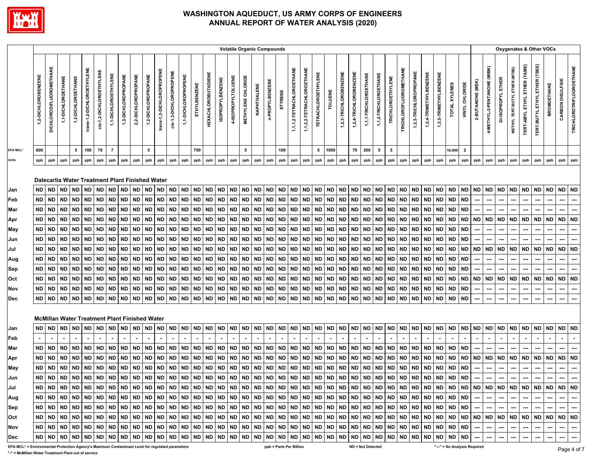

|                                                                                                 |                     |                                |                                                              |                    |                            |                          |                      |                        |                     |                     |                             |                         |                     |                       |                            |                         | <b>Volatile Organic Compounds</b> |                    |             |                        |           |                           |                           |                            |                |                        |                        |                       |                        |                        |                               |                        |                        |                        |               |                         |                              |                             |                    |                                |                                     |                               | Oxygenates & Other VOCs |                  |                                 |
|-------------------------------------------------------------------------------------------------|---------------------|--------------------------------|--------------------------------------------------------------|--------------------|----------------------------|--------------------------|----------------------|------------------------|---------------------|---------------------|-----------------------------|-------------------------|---------------------|-----------------------|----------------------------|-------------------------|-----------------------------------|--------------------|-------------|------------------------|-----------|---------------------------|---------------------------|----------------------------|----------------|------------------------|------------------------|-----------------------|------------------------|------------------------|-------------------------------|------------------------|------------------------|------------------------|---------------|-------------------------|------------------------------|-----------------------------|--------------------|--------------------------------|-------------------------------------|-------------------------------|-------------------------|------------------|---------------------------------|
|                                                                                                 | 1,2-DICHLOROBENZENE | <b>DICHLORODIFLUOROMETHANE</b> | 1,1-DICHLOROETHANE                                           | 1,2-DICHLOROETHANE | trans-1,2-DICHLOROETHYLENE | cis-1,2-DICHLOROETHYLENE | 1,1-DICHLOROETHYLENE | 1,3-DICHLOROPROPANE    | 2,2-DICHLOROPROPANE | 1,2-DICHLOROPROPANE | trans-1,3-DICHLOROPROPENE   | cis-1,3-DICHLOROPROPENE | 1,1-DICHLOROPROPENE | ETHYLBENZENE          | <b>HEXACHLOROBUTADIENE</b> | <b>ISOPROPYLBENZENE</b> | 4-ISOPROPYLTOLUENE                | METHYLENE CHLORIDE | NAPHTHALENE | n-PROPYLBENZENE        | STYRENE   | 1,1,1,2-TETRACHLOROETHANE | 1,1,2,2-TETRACHLOROETHANE | <b>TETRACHLOROETHYLENE</b> | <b>TOLUENE</b> | 1,2,3-TRICHLOROBENZENE | 1,2,4-TRICHLOROBENZENE | 1,1,1-TRICHLOROETHANE | 1,1,2-TRICHLOROETHANE  | TRICHLOROETHYLENE      | <b>TRICHLOROFLUOROMETHANE</b> | 1,2,3-TRICHLOROPROPANE | 1,2,4-TRIMETHYLBENZENE | 1,3,5-TRIMETHYLBENZENE | TOTAL XYLENES | VINYL CHLORIDE          | 2-BUTANONE (MEK)             | 4-METHYL-2-PENTANONE (MIBK) | DI-ISOPROPYL ETHER | METHYL TERT-BUTYL ETHER (MTBE) | <b>TERT-AMYL ETHYL ETHER (TAME)</b> | TERT-BUTYL ETHYL ETHER (TBEE) | <b>BROMOETHANE</b>      | CARBON DISULFIDE | <b>TRICHLOROTRIFLUOROETHANE</b> |
| EPA MCL*                                                                                        | 600                 |                                |                                                              | 5                  | 100                        | 70                       | $\overline{7}$       |                        |                     | 5                   |                             |                         |                     | 700                   |                            |                         |                                   | 5                  |             |                        | 100       |                           |                           | 5                          | 1000           |                        | 70                     | 200                   | 5                      | 5                      |                               |                        |                        |                        | 10,000        | $\overline{\mathbf{2}}$ |                              |                             |                    |                                |                                     |                               |                         |                  |                                 |
| <b>Units</b>                                                                                    | ppb                 | ppb                            | ppb                                                          | ppb                | ppb                        | ppb                      | ppb                  | ppb                    | ppb                 | ppb                 | ppb                         | ppb                     | ppb                 | ppb                   | ppb                        | ppb                     | ppb                               | ppb                | ppb         | ppb                    | ppb       | ppb                       | ppb                       | ppb                        | ppb            | ppb                    | ppb                    | ppb                   | ppb                    | ppb                    | ppb                           | ppb                    | ppb                    | ppb                    | ppb           | ppb                     | ppb                          | ppb                         | ppb                | ppb                            | ppb                                 | ppb                           | ppb                     | ppb              | ppb                             |
|                                                                                                 | <b>ND</b>           | <b>ND</b>                      | Dalecarlia Water Treatment Plant Finished Water<br><b>ND</b> | <b>ND</b>          | <b>ND</b>                  | <b>ND</b>                | <b>ND</b>            |                        |                     | ND ND               |                             | <b>ND</b>               | <b>ND</b>           |                       | ND                         | <b>ND</b>               |                                   | <b>ND</b>          | <b>ND</b>   |                        | <b>ND</b> |                           | <b>ND</b>                 | <b>ND</b>                  | <b>ND</b>      |                        | <b>ND</b>              | <b>ND</b>             |                        |                        |                               |                        | ND ND                  |                        | $\sf ND$      | <b>ND</b>               | <b>ND</b>                    |                             | ND ND              | <b>ND</b>                      | ND                                  | <b>ND</b>                     | <b>ND</b>               | $\sf ND$         | <b>ND</b>                       |
| Jan<br>Feb                                                                                      | <b>ND</b>           | <b>ND</b>                      | <b>ND</b>                                                    | <b>ND</b>          | <b>ND</b>                  | <b>ND</b>                | <b>ND</b>            | <b>ND</b><br><b>ND</b> | <b>ND</b>           | <b>ND</b>           | <b>ND</b><br><b>ND</b>      | <b>ND</b>               | <b>ND</b>           | $\sf ND$<br><b>ND</b> | <b>ND</b>                  | $\sf ND$                | $\sf ND$<br><b>ND</b>             | <b>ND</b>          | <b>ND</b>   | <b>ND</b><br><b>ND</b> | <b>ND</b> | <b>ND</b><br><b>ND</b>    | <b>ND</b>                 | <b>ND</b>                  | <b>ND</b>      | $\sf ND$<br><b>ND</b>  | <b>ND</b>              | <b>ND</b>             | <b>ND</b><br><b>ND</b> | <b>ND</b><br><b>ND</b> | ${\sf ND}$<br><b>ND</b>       | <b>ND</b><br><b>ND</b> | <b>ND</b>              | <b>ND</b>              | <b>ND</b>     | <b>ND</b>               |                              |                             |                    |                                |                                     |                               |                         |                  |                                 |
| Mar                                                                                             | <b>ND</b>           | <b>ND</b>                      | <b>ND</b>                                                    | <b>ND</b>          | <b>ND</b>                  | <b>ND</b>                | <b>ND</b>            | <b>ND</b>              | <b>ND</b>           | <b>ND</b>           | <b>ND</b>                   | <b>ND</b>               | <b>ND</b>           | <b>ND</b>             | <b>ND</b>                  | <b>ND</b>               | <b>ND</b>                         | <b>ND</b>          | <b>ND</b>   | <b>ND</b>              | <b>ND</b> | <b>ND</b>                 | <b>ND</b>                 | <b>ND</b>                  | <b>ND</b>      | <b>ND</b>              | <b>ND</b>              | <b>ND</b>             | <b>ND</b>              | <b>ND</b>              | ${\sf ND}$                    | <b>ND</b>              | <b>ND</b>              | ND                     | <b>ND</b>     | <b>ND</b>               |                              |                             |                    |                                |                                     |                               |                         |                  |                                 |
|                                                                                                 | <b>ND</b>           | <b>ND</b>                      | <b>ND</b>                                                    | <b>ND</b>          | <b>ND</b>                  | <b>ND</b>                | <b>ND</b>            | <b>ND</b>              | <b>ND</b>           | <b>ND</b>           | ND                          | <b>ND</b>               | <b>ND</b>           | ND                    | <b>ND</b>                  | ND                      | <b>ND</b>                         | <b>ND</b>          | <b>ND</b>   | <b>ND</b>              | <b>ND</b> | <b>ND</b>                 | ND                        | <b>ND</b>                  | <b>ND</b>      | <b>ND</b>              | <b>ND</b>              | <b>ND</b>             | <b>ND</b>              | <b>ND</b>              | <b>ND</b>                     | <b>ND</b>              | <b>ND</b>              | <b>ND</b>              | <b>ND</b>     | <b>ND</b>               | <b>ND</b>                    | <b>ND</b>                   | <b>ND</b>          | ND                             | <b>ND</b>                           | <b>ND</b>                     | <b>ND</b>               | <b>ND</b>        | <b>ND</b>                       |
| Apr<br>May                                                                                      | <b>ND</b>           | <b>ND</b>                      | <b>ND</b>                                                    | <b>ND</b>          | <b>ND</b>                  | <b>ND</b>                | <b>ND</b>            | <b>ND</b>              | <b>ND</b>           | <b>ND</b>           | <b>ND</b>                   | <b>ND</b>               | <b>ND</b>           | <b>ND</b>             | <b>ND</b>                  | <b>ND</b>               | <b>ND</b>                         | <b>ND</b>          | <b>ND</b>   | <b>ND</b>              | <b>ND</b> | <b>ND</b>                 | <b>ND</b>                 | <b>ND</b>                  | <b>ND</b>      | <b>ND</b>              | <b>ND</b>              | <b>ND</b>             | <b>ND</b>              | <b>ND</b>              | <b>ND</b>                     | <b>ND</b>              | <b>ND</b>              | <b>ND</b>              | <b>ND</b>     | <b>ND</b>               |                              |                             |                    |                                |                                     |                               |                         |                  | ---                             |
| Jun                                                                                             | <b>ND</b>           | <b>ND</b>                      | <b>ND</b>                                                    | <b>ND</b>          | <b>ND</b>                  | $\sf ND$                 | $\sf ND$             | <b>ND</b>              | <b>ND</b>           | <b>ND</b>           | <b>ND</b>                   | <b>ND</b>               | <b>ND</b>           | <b>ND</b>             | <b>ND</b>                  | <b>ND</b>               | <b>ND</b>                         | $\sf ND$           | <b>ND</b>   | <b>ND</b>              | <b>ND</b> | <b>ND</b>                 | <b>ND</b>                 | <b>ND</b>                  | <b>ND</b>      | <b>ND</b>              | <b>ND</b>              | ND.                   | <b>ND</b>              | <b>ND</b>              | $\sf ND$                      | <b>ND</b>              | ND                     | <b>ND</b>              | <b>ND</b>     | <b>ND</b>               |                              |                             |                    |                                |                                     |                               |                         |                  | ---                             |
| Jul                                                                                             | <b>ND</b>           | <b>ND</b>                      | <b>ND</b>                                                    | <b>ND</b>          | <b>ND</b>                  | <b>ND</b>                | <b>ND</b>            | <b>ND</b>              | <b>ND</b>           | <b>ND</b>           | <b>ND</b>                   | <b>ND</b>               | <b>ND</b>           | <b>ND</b>             | <b>ND</b>                  | <b>ND</b>               | <b>ND</b>                         | <b>ND</b>          | <b>ND</b>   | <b>ND</b>              | <b>ND</b> | <b>ND</b>                 | <b>ND</b>                 | <b>ND</b>                  | <b>ND</b>      | <b>ND</b>              | <b>ND</b>              | <b>ND</b>             | <b>ND</b>              | <b>ND</b>              | <b>ND</b>                     | <b>ND</b>              | <b>ND</b>              | <b>ND</b>              | <b>ND</b>     | <b>ND</b>               | <b>ND</b>                    |                             | ND ND              | <b>ND</b>                      | <b>ND</b>                           | <b>ND</b>                     | <b>ND</b>               | <b>ND</b>        | <b>ND</b>                       |
| Aug                                                                                             | <b>ND</b>           | <b>ND</b>                      | <b>ND</b>                                                    | <b>ND</b>          | <b>ND</b>                  | <b>ND</b>                | <b>ND</b>            | <b>ND</b>              | <b>ND</b>           | <b>ND</b>           | <b>ND</b>                   | <b>ND</b>               | <b>ND</b>           | <b>ND</b>             | <b>ND</b>                  | <b>ND</b>               | <b>ND</b>                         | <b>ND</b>          | <b>ND</b>   | <b>ND</b>              | <b>ND</b> | <b>ND</b>                 | <b>ND</b>                 | <b>ND</b>                  | <b>ND</b>      | <b>ND</b>              | <b>ND</b>              | <b>ND</b>             | <b>ND</b>              | <b>ND</b>              | <b>ND</b>                     | <b>ND</b>              | ND ND                  |                        | <b>ND</b>     | <b>ND</b>               |                              | ---                         |                    |                                |                                     |                               | ---                     |                  |                                 |
| Sep                                                                                             | <b>ND</b>           | <b>ND</b>                      | <b>ND</b>                                                    | ND                 | <b>ND</b>                  | <b>ND</b>                | <b>ND</b>            | <b>ND</b>              | <b>ND</b>           | <b>ND</b>           | ND                          | <b>ND</b>               | <b>ND</b>           | <b>ND</b>             | <b>ND</b>                  | ND                      | <b>ND</b>                         | <b>ND</b>          | <b>ND</b>   | <b>ND</b>              | <b>ND</b> | <b>ND</b>                 | ND                        | <b>ND</b>                  | <b>ND</b>      | <b>ND</b>              | <b>ND</b>              | <b>ND</b>             | <b>ND</b>              | <b>ND</b>              | <b>ND</b>                     | <b>ND</b>              | <b>ND</b>              | <b>ND</b>              | <b>ND</b>     | <b>ND</b>               |                              |                             |                    |                                |                                     |                               |                         |                  |                                 |
| Oct                                                                                             | <b>ND</b>           | <b>ND</b>                      | <b>ND</b>                                                    | ND                 | <b>ND</b>                  | <b>ND</b>                | <b>ND</b>            | <b>ND</b>              | <b>ND</b>           | <b>ND</b>           | ND                          | <b>ND</b>               | <b>ND</b>           | <b>ND</b>             | <b>ND</b>                  | <b>ND</b>               | <b>ND</b>                         | <b>ND</b>          | <b>ND</b>   | <b>ND</b>              | <b>ND</b> | <b>ND</b>                 | <b>ND</b>                 | <b>ND</b>                  | <b>ND</b>      | <b>ND</b>              | <b>ND</b>              | ND                    | <b>ND</b>              | <b>ND</b>              | <b>ND</b>                     | <b>ND</b>              | <b>ND</b>              | <b>ND</b>              | <b>ND</b>     | <b>ND</b>               | <b>ND</b>                    | ND                          | <b>ND</b>          | <b>ND</b>                      | <b>ND</b>                           | <b>ND</b>                     | <b>ND</b>               | <b>ND</b>        | <b>ND</b>                       |
| Nov                                                                                             | <b>ND</b>           | <b>ND</b>                      | <b>ND</b>                                                    | <b>ND</b>          | <b>ND</b>                  | $\sf ND$                 | <b>ND</b>            | <b>ND</b>              | <b>ND</b>           | <b>ND</b>           | <b>ND</b>                   | <b>ND</b>               | <b>ND</b>           | <b>ND</b>             | <b>ND</b>                  | <b>ND</b>               | <b>ND</b>                         | <b>ND</b>          | <b>ND</b>   | <b>ND</b>              | <b>ND</b> | <b>ND</b>                 | <b>ND</b>                 | ${\sf ND}$                 | <b>ND</b>      | <b>ND</b>              | <b>ND</b>              | <b>ND</b>             | <b>ND</b>              | <b>ND</b>              | <b>ND</b>                     | <b>ND</b>              | <b>ND</b>              | <b>ND</b>              | <b>ND</b>     | <b>ND</b>               | ---                          | ---                         | ---                | ---                            | ---                                 | ---                           | ---                     | ---              | ---                             |
| Dec                                                                                             | <b>ND</b>           | <b>ND</b>                      | <b>ND</b>                                                    | <b>ND</b>          | <b>ND</b>                  | <b>ND</b>                | <b>ND</b>            | <b>ND</b>              | <b>ND</b>           | <b>ND</b>           | <b>ND</b>                   | <b>ND</b>               | <b>ND</b>           | <b>ND</b>             | <b>ND</b>                  | <b>ND</b>               | <b>ND</b>                         | <b>ND</b>          | ND          | <b>ND</b>              | <b>ND</b> | <b>ND</b>                 | <b>ND</b>                 | <b>ND</b>                  | <b>ND</b>      | <b>ND</b>              | <b>ND</b>              | <b>ND</b>             | <b>ND</b>              | <b>ND</b>              | $\mathsf{ND}$                 | <b>ND</b>              | <b>ND</b>              | <b>ND</b>              | <b>ND</b>     | <b>ND</b>               |                              |                             |                    |                                |                                     |                               |                         |                  |                                 |
|                                                                                                 |                     |                                |                                                              |                    |                            |                          |                      |                        |                     |                     |                             |                         |                     |                       |                            |                         |                                   |                    |             |                        |           |                           |                           |                            |                |                        |                        |                       |                        |                        |                               |                        |                        |                        |               |                         |                              |                             |                    |                                |                                     |                               |                         |                  |                                 |
|                                                                                                 |                     |                                | <b>McMillan Water Treatment Plant Finished Water</b>         |                    |                            |                          |                      |                        |                     |                     |                             |                         |                     |                       |                            |                         |                                   |                    |             |                        |           |                           |                           |                            |                |                        |                        |                       |                        |                        |                               |                        |                        |                        |               |                         |                              |                             |                    |                                |                                     |                               |                         |                  |                                 |
| Jan                                                                                             | ND                  | <b>ND</b>                      | <b>ND</b>                                                    | <b>ND</b>          | <b>ND</b>                  | <b>ND</b>                | <b>ND</b>            | <b>ND</b>              | <b>ND</b>           | <b>ND</b>           | ND                          | <b>ND</b>               | <b>ND</b>           | <b>ND</b>             | <b>ND</b>                  | <b>ND</b>               | <b>ND</b>                         | <b>ND</b>          | <b>ND</b>   | <b>ND</b>              | <b>ND</b> | <b>ND</b>                 | ND                        | <b>ND</b>                  | <b>ND</b>      | <b>ND</b>              | <b>ND</b>              | <b>ND</b>             | ND                     | <b>ND</b>              | <b>ND</b>                     | <b>ND</b>              | <b>ND</b>              | <b>ND</b>              | <b>ND</b>     | <b>ND</b>               | <b>ND</b>                    | <b>ND</b>                   | <b>ND</b>          | ND                             | <b>ND</b>                           | <b>ND</b>                     | <b>ND</b>               | <b>ND</b>        | <b>ND</b>                       |
| Feb                                                                                             | $\sim$              |                                |                                                              |                    |                            |                          |                      |                        |                     |                     |                             |                         |                     |                       |                            |                         |                                   |                    |             |                        |           |                           |                           |                            |                |                        |                        |                       |                        |                        |                               |                        |                        |                        |               |                         |                              |                             |                    |                                |                                     |                               |                         |                  |                                 |
| Mar                                                                                             | <b>ND</b>           | <b>ND</b>                      | <b>ND</b>                                                    | <b>ND</b>          | <b>ND</b>                  | <b>ND</b>                | <b>ND</b>            | <b>ND</b>              | <b>ND</b>           | <b>ND</b>           | <b>ND</b>                   | <b>ND</b>               | <b>ND</b>           | <b>ND</b>             | <b>ND</b>                  | <b>ND</b>               | <b>ND</b>                         | <b>ND</b>          | <b>ND</b>   | <b>ND</b>              | <b>ND</b> | <b>ND</b>                 | ND                        | <b>ND</b>                  | <b>ND</b>      | <b>ND</b>              | <b>ND</b>              | <b>ND</b>             | <b>ND</b>              | <b>ND</b>              | <b>ND</b>                     | <b>ND</b>              | ND                     | <b>ND</b>              | <b>ND</b>     | <b>ND</b>               |                              |                             |                    |                                |                                     |                               |                         |                  |                                 |
| Apr                                                                                             | $\sf ND$            | <b>ND</b>                      | <b>ND</b>                                                    | <b>ND</b>          | <b>ND</b>                  | <b>ND</b>                | <b>ND</b>            | <b>ND</b>              | <b>ND</b>           | <b>ND</b>           | <b>ND</b>                   | <b>ND</b>               | <b>ND</b>           | <b>ND</b>             | <b>ND</b>                  | <b>ND</b>               | <b>ND</b>                         | <b>ND</b>          | <b>ND</b>   | <b>ND</b>              | <b>ND</b> | <b>ND</b>                 | <b>ND</b>                 | <b>ND</b>                  | <b>ND</b>      | <b>ND</b>              | <b>ND</b>              | <b>ND</b>             | <b>ND</b>              | <b>ND</b>              | <b>ND</b>                     | <b>ND</b>              | <b>ND</b>              | ND                     | <b>ND</b>     | <b>ND</b>               | <b>ND</b>                    |                             | ND ND              | <b>ND</b>                      | <b>ND</b>                           | <b>ND</b>                     | <b>ND</b>               | <b>ND</b>        | <b>ND</b>                       |
| May                                                                                             | <b>ND</b>           | <b>ND</b>                      | <b>ND</b>                                                    | <b>ND</b>          | <b>ND</b>                  | <b>ND</b>                | <b>ND</b>            | <b>ND</b>              | ND                  | <b>ND</b>           | ND                          | <b>ND</b>               | <b>ND</b>           | <b>ND</b>             | <b>ND</b>                  | <b>ND</b>               | <b>ND</b>                         | <b>ND</b>          | <b>ND</b>   | <b>ND</b>              | ND        | <b>ND</b>                 | ND                        | <b>ND</b>                  | <b>ND</b>      | <b>ND</b>              | <b>ND</b>              | <b>ND</b>             | <b>ND</b>              | <b>ND</b>              | <b>ND</b>                     | <b>ND</b>              | ND ND                  |                        | <b>ND</b>     | <b>ND</b>               | ---                          | ---                         |                    |                                |                                     | ---                           |                         |                  |                                 |
| Jun                                                                                             | ND                  | <b>ND</b>                      | <b>ND</b>                                                    | <b>ND</b>          | <b>ND</b>                  | <b>ND</b>                | <b>ND</b>            | <b>ND</b>              | <b>ND</b>           | <b>ND</b>           | <b>ND</b>                   | <b>ND</b>               | <b>ND</b>           | <b>ND</b>             | ND ND                      |                         | <b>ND</b>                         | <b>ND</b>          | <b>ND</b>   | <b>ND</b>              |           | ND ND                     | <b>ND</b>                 | <b>ND</b>                  | <b>ND</b>      | <b>ND</b>              | ND ND                  |                       | <b>ND</b>              | <b>ND</b>              | <b>ND</b>                     | <b>ND</b>              | <b>ND</b>              | <b>ND</b>              | <b>ND</b>     | <b>ND</b>               | ---                          |                             |                    |                                | ---                                 |                               |                         |                  |                                 |
| Jul                                                                                             | ND                  | ND                             |                                                              | ND ND              | <b>ND</b>                  | ND                       | <b>ND</b>            | <b>ND</b>              |                     | ND ND               | <b>ND</b>                   | ND ND                   |                     |                       | ND ND ND                   |                         | <b>ND</b>                         |                    | ND ND       | <b>ND</b>              |           | ND ND                     |                           | ND ND ND                   |                |                        | ND ND ND               |                       | <b>ND</b>              | <b>ND</b>              | <b>ND</b>                     | <b>ND</b>              | ND ND                  |                        | <b>ND</b>     | <b>ND</b>               | <b>ND</b>                    |                             | ND ND              | <b>ND</b>                      | <b>ND</b>                           | <b>ND</b>                     | <b>ND</b>               | ND ND            |                                 |
| Aug                                                                                             | <b>ND</b>           | <b>ND</b>                      |                                                              |                    |                            | ND   ND   ND   ND        | <b>ND</b>            |                        |                     |                     | ND   ND   ND   ND   ND   ND |                         |                     |                       |                            |                         |                                   |                    |             |                        |           |                           |                           |                            |                |                        |                        |                       |                        |                        |                               |                        | ND ND ND               |                        | <b>ND</b>     | <b>ND</b>               |                              |                             |                    |                                |                                     |                               |                         |                  | ---                             |
| Sep                                                                                             | ND                  | <b>ND</b>                      |                                                              |                    | ND ND ND                   | ND                       | <b>ND</b>            | <b>ND</b>              |                     |                     | ND   ND   ND   ND   ND      |                         |                     |                       | ND ND ND                   |                         | ND ND ND                          |                    |             | <b>ND</b>              |           | ND ND                     |                           | ND ND ND                   |                |                        | ND ND ND               |                       |                        | ND ND ND               |                               | <b>ND</b>              | ND ND                  |                        | <b>ND</b>     | <b>ND</b>               |                              |                             |                    |                                |                                     |                               |                         |                  | ---                             |
| Oct                                                                                             | ND                  | <b>ND</b>                      |                                                              | ND ND              | <b>ND</b>                  | <b>ND</b>                | <b>ND</b>            | <b>ND</b>              |                     | ND ND               | <b>ND</b>                   | <b>ND</b>               | <b>ND</b>           |                       | ND ND                      | <b>ND</b>               | <b>ND</b>                         | <b>ND</b>          | <b>ND</b>   | <b>ND</b>              |           | ND ND                     | ND                        | <b>ND</b>                  | <b>ND</b>      | <b>ND</b>              | ND ND                  |                       | <b>ND</b>              | <b>ND</b>              | <b>ND</b>                     | <b>ND</b>              | ND ND                  |                        | <b>ND</b>     | <b>ND</b>               | <b>ND</b>                    |                             | ND ND              | <b>ND</b>                      | <b>ND</b>                           | <b>ND</b>                     | <b>ND</b>               | ND ND            |                                 |
| Nov                                                                                             | ND                  | <b>ND</b>                      |                                                              | ND ND              | <b>ND</b>                  | <b>ND</b>                | <b>ND</b>            | ND                     |                     | ND ND               | <b>ND</b>                   | <b>ND</b>               | <b>ND</b>           | <b>ND</b>             | <b>ND</b>                  | <b>ND</b>               | <b>ND</b>                         | <b>ND</b>          | <b>ND</b>   | <b>ND</b>              |           | ND ND                     | <b>ND</b>                 | <b>ND</b>                  | <b>ND</b>      | <b>ND</b>              | ND ND                  |                       | <b>ND</b>              | <b>ND</b>              | <b>ND</b>                     | ND                     | ND ND                  |                        | <b>ND</b>     | <b>ND</b>               |                              |                             |                    |                                |                                     | ---                           |                         | ---              | ---                             |
| Dec                                                                                             | <b>ND</b>           | <b>ND</b>                      | <b>ND</b>                                                    | <b>ND</b>          | <b>ND</b>                  | <b>ND</b>                | <b>ND</b>            | <b>ND</b>              |                     | ND ND               | <b>ND</b>                   | ND                      | <b>ND</b>           | <b>ND</b>             | <b>ND</b>                  | <b>ND</b>               | <b>ND</b>                         |                    | ND ND       | <b>ND</b>              |           | ND ND                     | <b>ND</b>                 | ND                         | <b>ND</b>      | $\sf ND$               | <b>ND</b>              | <b>ND</b>             | <b>ND</b>              | <b>ND</b>              | <b>ND</b>                     | <b>ND</b>              | <b>ND</b>              | <b>ND</b>              | <b>ND</b>     | <b>ND</b>               |                              |                             |                    |                                |                                     | ---                           | ---                     | ┄                | ---                             |
| EPA MCL* = Environmental Protection Agency's Maximum Contaminant Level for regulated parameters |                     |                                |                                                              |                    |                            |                          |                      |                        |                     |                     |                             |                         |                     |                       |                            |                         |                                   |                    |             |                        |           | ppb = Parts Per Billion   |                           |                            |                |                        | ND = Not Detected      |                       |                        |                        |                               |                        |                        |                        |               |                         | "---" = No Analysis Required |                             |                    |                                |                                     |                               |                         |                  |                                 |

**"-" = McMillan Water Treatment Plant out of service**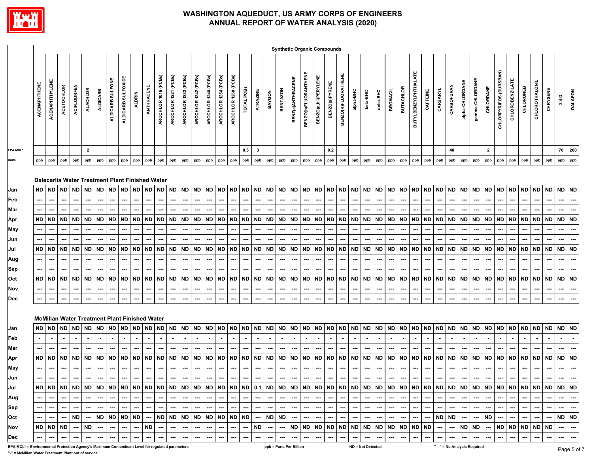

|                                                                                                 |              |                       |                   |                          |                 |                                                              |                          |                    |               |                          |                          |                          |                      |                          |                      |                        |                          |                          |                          |                          |                 |                          |                             | <b>Synthetic Organic Compounds</b> |                          |                        |           |                          |           |                          |                          |                             |           |                          |                          |                          |                              |                          |                        |                        |                        |                          |           |           |                          |
|-------------------------------------------------------------------------------------------------|--------------|-----------------------|-------------------|--------------------------|-----------------|--------------------------------------------------------------|--------------------------|--------------------|---------------|--------------------------|--------------------------|--------------------------|----------------------|--------------------------|----------------------|------------------------|--------------------------|--------------------------|--------------------------|--------------------------|-----------------|--------------------------|-----------------------------|------------------------------------|--------------------------|------------------------|-----------|--------------------------|-----------|--------------------------|--------------------------|-----------------------------|-----------|--------------------------|--------------------------|--------------------------|------------------------------|--------------------------|------------------------|------------------------|------------------------|--------------------------|-----------|-----------|--------------------------|
|                                                                                                 | ACENAPHTHENE | <b>ACENAPHTHYLENE</b> | <b>ACETOCHLOR</b> | <b>ACIFLOURFEN</b>       | <b>ALACHLOR</b> | <b>ALDICARB</b>                                              | ALDICARB SULFONE         | ALDICARB SULFOXIDE | <b>ALDRIN</b> | ANTHRACENE               | AROCHLOR 1016 (PCBs)     | AROCHLOR 1221 (PCBs)     | AROCHLOR 1232 (PCBs) | AROCHLOR 1242 (PCBs)     | AROCHLOR 1248 (PCBs) | AROCHLOR 1254 (PCBs)   | AROCHLOR 1260 (PCBs)     | TOTAL PCBS               | ATRAZINE                 | BAYGON                   | <b>BENTAZON</b> | BENZ(a)ANTHRACENE        | <b>BENZO(b)FLUORANTHENE</b> | <b>BENZO(g,h,l)PERYLENE</b>        | BENZO(a)PYRENE           | BENZO(K)FLUORATHENE    | alpha-BHC | beta-BHC                 | delta-BHC | <b>BROMACIL</b>          | <b>BUTACHLOR</b>         | <b>BUTYLBENZYLPHTHALATE</b> | CAFFEINE  | CARBARYL                 | <b>CARBOFURAN</b>        | alpha-CHLORDANE          | gamma-CHLORDANE              | CHLORDANE                | CHLORPYRIFOS (DURSBAN) | <b>CHLOROBENZILATE</b> | CHLORONEB              | CHLOROTHALONIL           | CHRYSENE  | $2,4-D$   | <b>DALAPON</b>           |
| <b>EPA MCL*</b>                                                                                 |              |                       |                   |                          | $\overline{2}$  |                                                              |                          |                    |               |                          |                          |                          |                      |                          |                      |                        |                          | 0.5                      | $\overline{\mathbf{3}}$  |                          |                 |                          |                             |                                    | 0.2                      |                        |           |                          |           |                          |                          |                             |           |                          | 40                       |                          |                              | $\mathbf{2}$             |                        |                        |                        |                          |           | 70        | 200                      |
|                                                                                                 | ppb          | ppb                   | ppb               | ppb                      | ppb             | ppb                                                          | ppb                      | ppb                | ppb           | ppb                      | ppb                      | ppb                      | ppb                  | ppb                      | ppb                  | ppb                    | ppb                      | ppb                      | ppb                      | ppb                      | ppb             | ppb                      | ppb                         | ppb                                | ppb                      | ppb                    | ppb       | ppb                      | ppb       | ppb                      | ppb                      | ppb                         | ppb       | ppb                      | ppb                      | ppb                      | ppb                          | ppb                      | ppb                    | ppb                    | ppb                    | ppb                      | ppb       | ppb       | ppb                      |
|                                                                                                 | ND ND        |                       | ND                | <b>ND</b>                | <b>ND</b>       | Dalecarlia Water Treatment Plant Finished Water<br><b>ND</b> | <b>ND</b>                |                    | ND ND         | <b>ND</b>                | <b>ND</b>                | <b>ND</b>                |                      | ND ND                    | <b>ND</b>            | <b>ND</b>              | $\sf ND$                 |                          | ND ND                    | <b>ND</b>                | <b>ND</b>       | <b>ND</b>                | ND ND                       |                                    | <b>ND</b>                | <b>ND</b>              | $\sf ND$  | <b>ND</b>                |           | ND ND                    | ND                       | <b>ND</b>                   | <b>ND</b> | ND ND                    |                          | <b>ND</b>                | <b>ND</b>                    | <b>ND</b>                |                        | ND ND                  | <b>ND</b>              | ND ND                    |           | <b>ND</b> | <b>ND</b>                |
|                                                                                                 |              |                       |                   |                          |                 |                                                              |                          |                    |               |                          |                          |                          |                      |                          |                      |                        |                          |                          |                          |                          |                 |                          |                             |                                    |                          |                        |           |                          |           |                          |                          |                             |           |                          |                          |                          |                              |                          |                        |                        |                        |                          |           |           |                          |
|                                                                                                 |              | ---                   | ---               |                          |                 |                                                              |                          |                    |               |                          |                          |                          | ---                  |                          | ---                  |                        |                          | ---                      |                          |                          |                 |                          | ---                         |                                    |                          |                        |           | ---                      |           |                          |                          | ---                         |           |                          |                          |                          | ---                          |                          |                        |                        |                        |                          |           |           | ---                      |
|                                                                                                 | ND ND        |                       | ND                | ND                       | <b>ND</b>       | <b>ND</b>                                                    | <b>ND</b>                | <b>ND</b>          | ND            | <b>ND</b>                | <b>ND</b>                | <b>ND</b>                | ND ND                |                          | <b>ND</b>            | <b>ND</b>              | <b>ND</b>                |                          | ND ND                    | <b>ND</b>                | <b>ND</b>       | <b>ND</b>                | <b>ND</b>                   | <b>ND</b>                          | ND                       | <b>ND</b>              | <b>ND</b> | <b>ND</b>                | <b>ND</b> | <b>ND</b>                | <b>ND</b>                | <b>ND</b>                   | <b>ND</b> | <b>ND</b>                | <b>ND</b>                | <b>ND</b>                | <b>ND</b>                    | <b>ND</b>                | <b>ND</b>              | ND                     | <b>ND</b>              | <b>ND</b>                | <b>ND</b> | <b>ND</b> | <b>ND</b>                |
|                                                                                                 |              | ---                   |                   |                          |                 |                                                              |                          |                    |               |                          | ---                      |                          |                      |                          |                      | ---                    |                          |                          |                          |                          |                 | ---                      |                             |                                    |                          |                        |           |                          |           |                          |                          | ---                         |           | ⊷                        |                          |                          | ---                          |                          |                        |                        |                        |                          |           |           | ---                      |
|                                                                                                 |              | ---                   | ---               |                          | ---             | ---                                                          | ---                      | ---                |               | ---                      | ---                      | ---                      | ---                  | ---                      | ---                  | ---                    | ---                      | ---                      | ---                      | ---                      | ---             | ---                      | ---                         | ---                                | ---                      | ---                    | ---       | ---                      | ⊷         |                          | ---                      | ---                         | ---       | ⊷                        |                          | ---                      | ---                          |                          | ---                    | ---                    |                        |                          | ---       | ---       | ---                      |
|                                                                                                 | ND           | <b>ND</b>             | ND                | <b>ND</b>                | <b>ND</b>       | <b>ND</b>                                                    | <b>ND</b>                |                    | ND ND         | <b>ND</b>                | <b>ND</b>                | <b>ND</b>                | ND ND                |                          | <b>ND</b>            | <b>ND</b>              | <b>ND</b>                |                          | ND ND                    | <b>ND</b>                | <b>ND</b>       | <b>ND</b>                | <b>ND</b>                   | <b>ND</b>                          | <b>ND</b>                | <b>ND</b>              | <b>ND</b> | <b>ND</b>                | <b>ND</b> | <b>ND</b>                | <b>ND</b>                | <b>ND</b>                   | <b>ND</b> | ND I                     | <b>ND</b>                | <b>ND</b>                | <b>ND</b>                    | <b>ND</b>                | <b>ND</b>              | <b>ND</b>              | <b>ND</b>              | <b>ND</b>                | <b>ND</b> | <b>ND</b> | <b>ND</b>                |
|                                                                                                 | ---          | ---                   | ---               | ---                      | ---             | ---                                                          | ---                      | ---                | ---           | ---                      | ---                      | ---                      | ---                  | $\hspace{0.05cm} \cdots$ | ---                  | ---                    | ---                      | ---                      | ---                      | ---                      | ---             | ---                      | ---                         | ---                                | $\hspace{0.05cm} \cdots$ | ---                    | ---       | ---                      | ---       | $\hspace{0.05cm} \cdots$ | ---                      | ---                         | ---       | ---                      | $\hspace{0.05cm} \cdots$ | ---                      | ---                          | ---                      | ---                    | ---                    | ---                    | ---                      | ---       | ---       | ---                      |
|                                                                                                 |              | ---                   | ---               |                          |                 |                                                              |                          |                    |               |                          | ---                      | ---                      |                      | ---                      | ---                  | ---                    |                          | ---                      | ---                      | ---                      |                 | ---                      | ---                         | ---                                |                          | ---                    | ---       | ---                      |           |                          | ---                      | ---                         |           | ---                      | ---                      |                          | ---                          |                          | ---                    | ---                    |                        |                          |           |           |                          |
|                                                                                                 | ND           | ND                    | ND                | ND                       | <b>ND</b>       | <b>ND</b>                                                    | ND                       | ND                 | <b>ND</b>     | <b>ND</b>                | <b>ND</b>                | <b>ND</b>                | <b>ND</b>            | <b>ND</b>                | <b>ND</b>            | <b>ND</b>              | <b>ND</b>                | <b>ND</b>                | <b>ND</b>                | ND                       | <b>ND</b>       | <b>ND</b>                | <b>ND</b>                   | ND                                 | ND.                      | <b>ND</b>              | <b>ND</b> | <b>ND</b>                | <b>ND</b> | <b>ND</b>                | <b>ND</b>                | <b>ND</b>                   | <b>ND</b> | <b>ND</b>                | <b>ND</b>                | <b>ND</b>                | ND                           | <b>ND</b>                | <b>ND</b>              | <b>ND</b>              | <b>ND</b>              | <b>ND</b>                | <b>ND</b> | <b>ND</b> | <b>ND</b>                |
|                                                                                                 | ---          | ---                   | ---               | ---                      | ---             | ---                                                          | ---                      | ---                | ---           | ---                      | ---                      | ---                      | ---                  | ---                      | ---                  | ---                    | ---                      | ---                      | ---                      | ---                      | ---             | ---                      | ---                         | ---                                | ---                      | ---                    | ---       | ---                      | ⊷         |                          | ---                      | ---                         | ---       | ---                      |                          | ---                      | ---                          | ---                      | ---                    | ---                    | ---                    | ---                      | ---       | ---       | ---                      |
|                                                                                                 |              | ---                   |                   |                          |                 |                                                              |                          |                    |               |                          | ---                      |                          |                      |                          |                      | ---                    |                          |                          |                          |                          |                 |                          |                             |                                    |                          | ---                    | ---       |                          |           |                          | ---                      | ---                         |           |                          |                          |                          | ---                          |                          |                        |                        |                        |                          |           |           |                          |
|                                                                                                 |              |                       |                   |                          |                 | <b>McMillan Water Treatment Plant Finished Water</b>         |                          |                    |               |                          |                          |                          |                      |                          |                      |                        |                          |                          |                          |                          |                 |                          |                             |                                    |                          |                        |           |                          |           |                          |                          |                             |           |                          |                          |                          |                              |                          |                        |                        |                        |                          |           |           |                          |
|                                                                                                 | ND           | ND                    | ND                | ND                       | <b>ND</b>       | <b>ND</b>                                                    | <b>ND</b>                | ND                 | <b>ND</b>     | <b>ND</b>                | <b>ND</b>                | <b>ND</b>                | ND ND                |                          | <b>ND</b>            | <b>ND</b>              | <b>ND</b>                | ND                       | <b>ND</b>                | ND                       | ND              | <b>ND</b>                | <b>ND</b>                   | <b>ND</b>                          | <b>ND</b>                | <b>ND</b>              | <b>ND</b> | ND                       | <b>ND</b> | ND                       | <b>ND</b>                | <b>ND</b>                   | ND        | <b>ND</b>                | ND                       | <b>ND</b>                | <b>ND</b>                    | <b>ND</b>                | <b>ND</b>              | <b>ND</b>              | ND                     | ND                       | <b>ND</b> | <b>ND</b> | <b>ND</b>                |
|                                                                                                 | $\sim$       | $\sim$                |                   |                          |                 |                                                              |                          |                    |               |                          |                          |                          |                      |                          |                      | $\sim$                 |                          |                          | $\blacksquare$           |                          |                 |                          |                             |                                    |                          |                        |           |                          |           |                          |                          |                             |           |                          |                          |                          |                              |                          |                        |                        |                        |                          |           |           |                          |
|                                                                                                 |              |                       |                   |                          |                 |                                                              |                          |                    |               |                          |                          |                          |                      |                          |                      |                        |                          |                          |                          |                          |                 |                          |                             |                                    |                          |                        | ---       |                          |           |                          |                          | ---                         |           |                          |                          |                          | ---                          |                          |                        |                        |                        |                          |           |           |                          |
|                                                                                                 | ND ND        |                       | <b>ND</b>         | <b>ND</b>                | <b>ND</b>       | <b>ND</b>                                                    | <b>ND</b>                |                    | ND ND         | <b>ND</b>                | <b>ND</b>                | <b>ND</b>                | ND ND                |                          | <b>ND</b>            | <b>ND</b>              | <b>ND</b>                |                          | ND ND                    | <b>ND</b>                | <b>ND</b>       | <b>ND</b>                |                             | ND ND                              | <b>ND</b>                | <b>ND</b>              | <b>ND</b> | <b>ND</b>                | <b>ND</b> | <b>ND</b>                | <b>ND</b>                | <b>ND</b>                   | <b>ND</b> | ND ND                    |                          | <b>ND</b>                | <b>ND</b>                    | <b>ND</b>                | <b>ND</b>              | <b>ND</b>              | <b>ND</b>              | <b>ND</b>                | <b>ND</b> | <b>ND</b> | <b>ND</b>                |
|                                                                                                 |              | ---                   | ---               | ---                      | ---             | ---                                                          | ---                      | ---                | ---           | ---                      | ---                      | ---                      | ---                  | ---                      | ---                  | ---                    | $\overline{\phantom{a}}$ | ---                      | ---                      |                          |                 | ---                      | ---                         | ---                                | ---                      | ---                    | ---       | ---                      | ---       | ---                      | ---                      | ---                         | ---       | ---                      | ---                      | ---                      | $\hspace{0.05cm} \cdots$     | ---                      | ---                    | ---                    |                        | ---                      | ---       | ---       |                          |
|                                                                                                 | ---          | ---                   |                   |                          |                 | ---                                                          |                          |                    |               |                          | ---                      |                          |                      |                          |                      | ---                    |                          |                          | ---                      |                          | ---             | ---                      | ---                         | ---                                |                          | ---                    |           | ---                      | ⊷         |                          |                          |                             |           |                          |                          |                          | ---                          | ---                      |                        |                        |                        |                          |           |           |                          |
|                                                                                                 | ND ND        |                       | ND.               | ND.                      |                 | ND ND ND                                                     |                          |                    |               | ND   ND   ND   ND   ND   |                          |                          |                      |                          | ND ND ND ND          |                        | <b>ND</b>                |                          | ND 0.1                   | <b>ND</b>                |                 |                          |                             | ND ND ND ND                        |                          | ND ND                  | <b>ND</b> | ND ND                    |           |                          | ND ND                    | <b>ND</b>                   | <b>ND</b> | ND ND ND                 |                          |                          | ND I                         |                          | ND ND ND               |                        | ND.                    | ND ND ND ND              |           |           |                          |
|                                                                                                 | ---          | …                     |                   |                          |                 |                                                              | $\overline{\phantom{a}}$ |                    |               | $\overline{\phantom{a}}$ |                          |                          | ---                  |                          | $\overline{a}$       |                        | $\overline{\phantom{a}}$ | $\hspace{0.05cm} \ldots$ |                          |                          |                 | ---                      | ---                         |                                    |                          |                        | ---       | $\overline{\phantom{a}}$ |           |                          | $\sim$                   | $\hspace{0.05cm} \cdots$    |           | $\overline{\phantom{a}}$ |                          |                          | $\overline{\phantom{a}}$     |                          | ---                    |                        |                        |                          | ---       | $\sim$    | $\cdots$                 |
|                                                                                                 | ---          | ---                   | ---               | $\hspace{0.05cm} \cdots$ | ---             | ---                                                          | $\hspace{0.05cm} \cdots$ | $\sim$             | ---           | $\cdots$                 | $\overline{\phantom{a}}$ | $\overline{\phantom{a}}$ | $\sim$               | $\cdots$                 | $\cdots$             | $\qquad \qquad \cdots$ | ---                      | ---                      | $\cdots$                 | $\hspace{0.05cm} \cdots$ | ---             | ---                      | ---                         | $\hspace{0.05cm} \cdots$           | $\cdots$                 | $\cdots$               | ---       | $\cdots$                 | ---       | ---                      | ---                      | $\sim$                      | ---       | $\cdots$                 | $\sim$ $\sim$            | ---                      | ---                          | $\hspace{0.05cm} \cdots$ | ---                    | $\cdots$               | $\qquad \qquad \cdots$ | ---                      | ---       | $\sim$    | $\hspace{0.05cm} \cdots$ |
|                                                                                                 |              | ---                   | ---               | <b>ND</b>                | $\sim$          |                                                              |                          | ND ND ND ND        |               | $\sim$                   |                          |                          |                      |                          |                      |                        |                          |                          | $\sim$                   |                          | ND ND           | $\overline{\phantom{a}}$ | $\sim$                      | ---                                | $\cdots$                 | $\qquad \qquad \cdots$ | $\sim$    | $\sim$                   | ---       | ---                      | $\overline{\phantom{a}}$ | $\hspace{0.05cm} \cdots$    | $\sim$    |                          | ND ND                    | $\hspace{0.05cm} \cdots$ | $\sim$                       | ND                       | $\sim$                 | $\sim$                 | $\cdots$               | $\overline{\phantom{a}}$ | $\sim$    | ND ND     |                          |
|                                                                                                 |              | ND ND ND              |                   | ---                      | ND              | ---                                                          | ---                      | ---                | ---           | ND                       | ---                      | ---                      | ---                  | ---                      | ---                  | ---                    | ---                      | ---                      | <b>ND</b>                | $\hspace{0.05cm} \cdots$ | ---             |                          |                             | ND ND ND                           | <b>ND</b>                | <b>ND</b>              | <b>ND</b> |                          |           | ND ND ND                 | <b>ND</b>                | <b>ND</b>                   | ND        | $\cdots$                 | ---                      | <b>ND</b>                | <b>ND</b>                    | $\hspace{0.05cm} \cdots$ |                        | ND ND                  | ND.                    | ND                       | <b>ND</b> | ---       | ---                      |
|                                                                                                 | ---          | ---                   | ---               |                          | ---             | ---                                                          | ---                      | ---                |               | ---                      | ---                      | ---                      | ---                  | ---                      | ---                  | $\qquad \qquad \cdots$ | ---                      | ---                      | $\hspace{0.05cm} \cdots$ | ---                      | ---             | ---                      | ---                         | ---                                | $\sim$                   | ---                    | ---       | $\overline{\phantom{a}}$ | ---       |                          | ---                      | ---                         | ---       | $\cdots$                 | $\cdots$                 | $\qquad \qquad \cdots$   | ---                          | ---                      | ---                    | ---                    | ---                    | ---                      | ---       | ---       | $\overline{\phantom{a}}$ |
| EPA MCL* = Environmental Protection Agency's Maximum Contaminant Level for regulated parameters |              |                       |                   |                          |                 |                                                              |                          |                    |               |                          |                          |                          |                      |                          |                      |                        |                          |                          |                          |                          |                 | ppb = Parts Per Billion  |                             |                                    |                          |                        |           | ND = Not Detected        |           |                          |                          |                             |           |                          |                          |                          | "---" = No Analysis Required |                          |                        |                        |                        |                          |           |           |                          |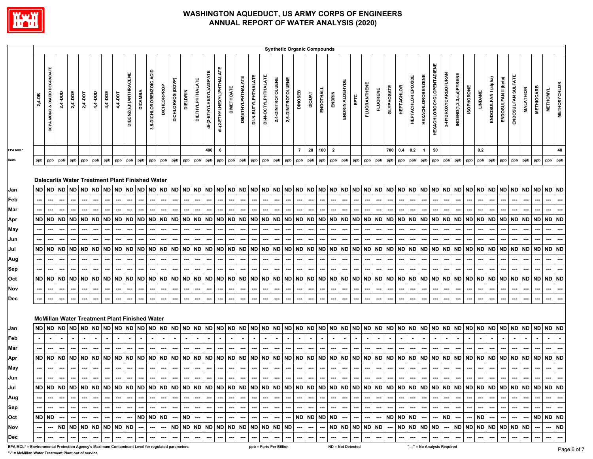

|                                                                                                 |           |                              |             |                       |          |                                                             |           |           |                       |                |                          |                 |                   |                 |                         |                          |                            |                   |                          |                     |                     | <b>Synthetic Organic Compounds</b> |                    |                |               |           |                         |                          |           |                     |                 |                 |                   |                    |                              |                                  |                     |                         |                   |           |                      |                      |                    |                  |                   |                 |                     |             |
|-------------------------------------------------------------------------------------------------|-----------|------------------------------|-------------|-----------------------|----------|-------------------------------------------------------------|-----------|-----------|-----------------------|----------------|--------------------------|-----------------|-------------------|-----------------|-------------------------|--------------------------|----------------------------|-------------------|--------------------------|---------------------|---------------------|------------------------------------|--------------------|----------------|---------------|-----------|-------------------------|--------------------------|-----------|---------------------|-----------------|-----------------|-------------------|--------------------|------------------------------|----------------------------------|---------------------|-------------------------|-------------------|-----------|----------------------|----------------------|--------------------|------------------|-------------------|-----------------|---------------------|-------------|
|                                                                                                 | 2,4-DB    | DCPA MONO & DIACID DEGRADATE | $2,4'$ -DDD | $2,4$ <sup>-DDE</sup> | 2,4'-DDT | 4,4'-DDD                                                    | 4,4'-DDE  | 4,4'-DDT  | DIBENZ(a,h)ANTHRACENE | <b>DICAMBA</b> | 3,5-DICHLOROBENZOIC ACID | DICHLORPROP     | DICHLORVOS (DDVP) | <b>DIELDRIN</b> | <b>DIETHYLPHTHALATE</b> | di-(2-ETHYLHEXYL)ADIPATE | di-(2-ETHYLHEXYL)PHTHALATE | <b>DIMETHOATE</b> | <b>DIMETHYLPHTHALATE</b> | DI-N-BUTYLPHTHALATE | DI-N-OCTYLPHTHALATE | 2,4-DINITROTOLUENE                 | 2,6-DINITROTOLUENE | <b>DINOSEB</b> | <b>DIQUAT</b> | ENDOTHALL | ENDRIN                  | ENDRIN ALDEHYDE          | EPTC      | <b>FLUORANTHENE</b> | <b>FLUORENE</b> | GLYPHOSATE      | <b>HEPTACHLOR</b> | HEPTACHLOR EPOXIDE | <b>HEXACHLOROBENZENE</b>     | <b>HEXACHLOROCYCLOPENTADIENE</b> | 3-HYDROXYCARBOFURAN | INDENO(1,2,3,c,d)PYRENE | <b>ISOPHORONE</b> | LINDANE   | ENDOSULFAN I (alpha) | ENDOSULFAN II (beta) | ENDOSULFAN SULFATE | <b>MALATHION</b> | <b>METHIOCARB</b> | <b>METHOMYL</b> | <b>METHOXYCHLOR</b> |             |
| EPA MCL*                                                                                        |           |                              |             |                       |          |                                                             |           |           |                       |                |                          |                 |                   |                 |                         | 400                      | 6                          |                   |                          |                     |                     |                                    |                    | $\overline{7}$ | 20            | 100       | $\overline{\mathbf{2}}$ |                          |           |                     |                 | 700             | 0.4               | 0.2                | $\mathbf{1}$                 | 50                               |                     |                         |                   | 0.2       |                      |                      |                    |                  |                   |                 | 40                  |             |
| Units                                                                                           | ppb       | ppb                          | ppb         | ppb                   | ppb      | ppb                                                         | ppb       | ppb       | ppb                   | ppb            | ppb                      | ppb             | ppb               | ppb             | ppb                     | ppb                      | ppb                        | ppb               | ppb                      | ppb                 | ppb                 | ppb                                | ppb                | ppb            | ppb           | ppb       | ppb                     | ppb                      | ppb       | ppb                 | ppb             | ppb             | ppb               | ppb                | ppb                          | ppb                              | ppb                 | ppb                     | ppb               | ppb       | ppb                  | ppb                  | ppb                | ppb              | ppb               | ppb             | ppb                 |             |
|                                                                                                 |           |                              | ND ND ND ND |                       |          | Dalecarlia Water Treatment Plant Finished Water<br>ND ND ND |           |           | ND ND                 | ND             | <b>ND</b>                |                 | ND ND             |                 | ND ND ND ND ND ND ND ND |                          |                            |                   |                          |                     |                     | ND ND ND                           |                    | ND             | ND ND         |           |                         | ND ND ND ND              |           |                     |                 | ND ND ND        |                   |                    | ND ND ND                     |                                  | <b>ND</b>           | ND ND                   |                   |           |                      | ND ND ND ND ND       |                    | ND ND            |                   | <b>ND ND</b>    |                     |             |
| Jan<br>Feb                                                                                      |           |                              |             |                       |          |                                                             |           |           |                       |                |                          |                 |                   |                 |                         |                          |                            |                   |                          |                     |                     |                                    |                    |                |               |           |                         |                          |           |                     |                 |                 |                   |                    |                              |                                  |                     |                         |                   |           |                      |                      |                    |                  |                   |                 |                     |             |
| Mar                                                                                             |           |                              |             |                       | ---      |                                                             |           |           |                       |                |                          |                 |                   |                 |                         |                          |                            | ---               |                          |                     |                     |                                    |                    |                |               |           |                         |                          |           |                     |                 |                 |                   |                    |                              |                                  |                     |                         |                   |           |                      |                      |                    |                  |                   |                 |                     |             |
| Apr                                                                                             |           | ND ND                        | ND ND       |                       |          | ND ND ND                                                    |           | <b>ND</b> | <b>ND</b>             | <b>ND</b>      | <b>ND</b>                | <b>ND</b>       | <b>ND</b>         | <b>ND</b>       | ND                      | <b>ND</b>                | <b>ND</b>                  |                   | ND ND ND                 |                     | <b>ND</b>           | <b>ND</b>                          | <b>ND</b>          | <b>ND</b>      | ND ND         |           | ND                      | ND.                      | <b>ND</b> | <b>ND</b>           | ND I            | <b>ND</b>       | <b>ND</b>         | <b>ND</b>          | <b>ND</b>                    | <b>ND</b>                        | ND                  | ND ND                   |                   | <b>ND</b> | <b>ND</b>            | <b>ND</b>            | <b>ND</b>          | ND ND            |                   | <b>ND</b>       | <b>ND</b>           |             |
| May                                                                                             |           | ---                          | ---         | ---                   | ---      | ---                                                         |           | ---       | …                     | ---            | ---                      | ┅               | ---               |                 | ---                     | ---                      | ---                        | ---               | ---                      | ---                 | ---                 | ---                                | ---                | ---            | ---           |           |                         |                          |           | ---                 | ---             | ⊷               | …                 | ---                | ---                          | ---                              | ---                 | ---                     |                   |           | ---                  |                      | ---                |                  | ---               | ---             |                     |             |
| Jun                                                                                             |           | ---                          |             |                       | ---      | Ξ.                                                          |           | ---       |                       |                |                          | ---             |                   |                 |                         |                          |                            | ---               | ---                      |                     | -−∙                 |                                    |                    | ---            |               |           |                         |                          |           |                     | ---             |                 |                   | ---                |                              |                                  |                     |                         |                   |           |                      |                      |                    |                  |                   |                 |                     |             |
| Jul                                                                                             |           |                              |             |                       |          | ND   ND   ND   ND   ND   ND   ND                            |           | <b>ND</b> | <b>ND</b>             | <b>ND</b>      | <b>ND</b>                | <b>ND</b>       | <b>ND</b>         | ND.             |                         | ND ND                    | <b>ND</b>                  |                   | <b>ND ND ND</b>          |                     | <b>ND</b>           | ND ND                              |                    |                | ND ND ND      |           | ND.                     | ND ND                    |           | ND                  |                 | <b>ND ND ND</b> |                   | <b>ND</b>          | <b>ND</b>                    | <b>ND</b>                        | ND ND ND            |                         |                   |           |                      | ND ND ND ND          |                    | ND ND            |                   | <b>ND</b>       | <b>ND</b>           |             |
| Aug                                                                                             |           |                              |             |                       | ---      | ---                                                         | ---       | ---       |                       |                | ⊷                        |                 |                   |                 |                         |                          |                            | ---               | ---                      | …                   | …                   | ---                                | ---                | ---            | ---           |           |                         |                          |           | --                  | ---             | ⊷               | …                 | ---                | ---                          | ---                              | ---                 | ---                     |                   |           |                      | ---                  | ---                | ---              | ---               | ⊷               |                     |             |
| Sep                                                                                             |           |                              |             |                       |          |                                                             |           |           |                       |                |                          |                 |                   |                 |                         |                          |                            |                   | -−                       |                     |                     |                                    |                    |                |               |           |                         |                          |           |                     |                 |                 |                   |                    |                              |                                  |                     |                         |                   |           |                      |                      |                    |                  |                   |                 |                     |             |
| Oct                                                                                             | <b>ND</b> | <b>ND</b>                    | ND          | <b>ND</b>             | ND       | <b>ND</b>                                                   | <b>ND</b> | <b>ND</b> | <b>ND</b>             | <b>ND</b>      | <b>ND</b>                | <b>ND</b>       | <b>ND</b>         | <b>ND</b>       | <b>ND</b>               | <b>ND</b>                | <b>ND</b>                  | ND                | <b>ND</b>                | <b>ND</b>           | <b>ND</b>           | <b>ND</b>                          | <b>ND</b>          | ND             | ND            | <b>ND</b> | ND                      | <b>ND</b>                | <b>ND</b> | ND                  | <b>ND</b>       | <b>ND</b>       | <b>ND</b>         | <b>ND</b>          | <b>ND</b>                    | <b>ND</b>                        | ND                  | <b>ND</b>               | <b>ND</b>         | <b>ND</b> | <b>ND</b>            | <b>ND</b>            | <b>ND</b>          | <b>ND</b>        | <b>ND</b>         | <b>ND</b>       | <b>ND</b>           |             |
| Nov                                                                                             |           |                              |             |                       |          |                                                             |           |           |                       |                |                          |                 |                   |                 |                         |                          |                            |                   |                          |                     |                     |                                    |                    |                |               |           |                         |                          |           |                     |                 |                 |                   |                    |                              |                                  |                     |                         |                   |           |                      |                      |                    |                  |                   |                 |                     |             |
| Dec                                                                                             |           |                              |             |                       |          |                                                             |           |           |                       |                |                          |                 |                   |                 |                         |                          |                            |                   |                          |                     |                     |                                    |                    |                |               |           |                         |                          |           |                     |                 |                 |                   |                    |                              |                                  |                     |                         |                   |           |                      |                      |                    |                  |                   |                 |                     |             |
|                                                                                                 |           |                              |             |                       |          | <b>McMillan Water Treatment Plant Finished Water</b>        |           |           |                       |                |                          |                 |                   |                 |                         |                          |                            |                   |                          |                     |                     |                                    |                    |                |               |           |                         |                          |           |                     |                 |                 |                   |                    |                              |                                  |                     |                         |                   |           |                      |                      |                    |                  |                   |                 |                     |             |
| Jan                                                                                             | <b>ND</b> | <b>ND</b>                    | ND ND       |                       |          | ND ND ND                                                    |           |           | ND ND                 | <b>ND</b>      | ND                       | <b>ND</b>       | <b>ND</b>         | <b>ND</b>       | ND ND                   |                          | <b>ND</b>                  | ND                | <b>ND</b>                | <b>ND</b>           | <b>ND</b>           | <b>ND</b>                          | <b>ND</b>          | ND             | ND ND         |           | <b>ND</b>               | ND                       | <b>ND</b> | <b>ND</b>           | ND ND           |                 | <b>ND</b>         | <b>ND</b>          | <b>ND</b>                    | <b>ND</b>                        | <b>ND</b>           | ND ND                   |                   | <b>ND</b> | <b>ND</b>            | <b>ND</b>            | <b>ND</b>          | ND ND            |                   | ND ND           |                     |             |
| Feb                                                                                             |           |                              |             |                       |          |                                                             |           |           |                       |                |                          |                 |                   |                 |                         |                          |                            |                   |                          |                     |                     |                                    |                    |                |               |           |                         |                          |           |                     |                 |                 |                   |                    |                              |                                  |                     |                         |                   |           |                      |                      |                    |                  |                   |                 |                     |             |
| Mar                                                                                             |           |                              |             |                       |          |                                                             |           |           |                       |                |                          |                 |                   |                 |                         |                          |                            |                   |                          |                     |                     |                                    |                    |                |               |           |                         |                          |           |                     |                 |                 |                   |                    |                              |                                  |                     |                         |                   |           |                      |                      |                    |                  |                   |                 |                     |             |
| Apr                                                                                             |           |                              | ND ND ND ND |                       |          | ND ND                                                       | <b>ND</b> |           | ND ND                 | <b>ND</b>      |                          | ND ND           | <b>ND</b>         | <b>ND</b>       | ND ND                   |                          | <b>ND</b>                  |                   | ND ND ND                 |                     |                     | ND ND ND                           |                    |                | ND ND ND      |           | <b>ND</b>               | ND                       | ND        | ND                  | ND ND           |                 | ND ND             |                    | ND ND                        |                                  | ND ND ND            |                         |                   | <b>ND</b> | ND ND                |                      | ND                 | ND ND            |                   | ND ND           |                     |             |
| May                                                                                             |           |                              |             |                       |          | ---                                                         |           |           |                       |                |                          |                 |                   |                 |                         |                          |                            |                   | ---                      |                     | …                   | ---                                | ---                | ---            |               |           |                         |                          |           |                     |                 |                 |                   | ---                | ---                          |                                  | ---                 |                         |                   |           |                      |                      | ---                |                  |                   |                 |                     |             |
| Jun                                                                                             | ---       | ---                          |             |                       |          | ND ND ND ND ND ND ND                                        |           |           | ---                   |                | ---                      |                 |                   |                 |                         |                          |                            |                   |                          |                     |                     |                                    |                    |                |               |           |                         |                          |           |                     |                 |                 |                   |                    |                              |                                  |                     |                         |                   |           |                      |                      |                    |                  |                   | ND ND           |                     |             |
| Jul                                                                                             |           |                              |             |                       |          |                                                             |           |           |                       |                |                          |                 |                   |                 |                         |                          |                            |                   |                          |                     |                     |                                    |                    |                |               |           |                         |                          |           |                     |                 |                 |                   |                    |                              |                                  |                     |                         |                   |           |                      |                      |                    |                  |                   |                 |                     |             |
| Aug<br>Sep                                                                                      |           |                              |             |                       |          | …                                                           |           |           |                       |                |                          |                 |                   |                 |                         |                          |                            |                   |                          |                     |                     |                                    |                    |                |               |           |                         |                          |           |                     |                 |                 |                   |                    |                              |                                  |                     |                         |                   |           |                      |                      |                    |                  |                   |                 |                     |             |
| Oct                                                                                             | ND ND     |                              |             |                       | ---      | ---                                                         |           | ---       | ---                   | <b>ND</b>      | ${\sf ND}$               | ---<br>$\sf ND$ |                   | <b>ND</b>       | ---                     |                          |                            | ---               | ---                      | ---                 |                     | …                                  |                    |                | ND ND ND      |           | <b>ND</b>               |                          |           | ---<br>---          | ---<br>---      | ND ND ND        |                   |                    | ---                          |                                  | <b>ND</b>           | ---<br>---              |                   | <b>ND</b> |                      |                      | ---<br>            | ---<br>---       | <b>ND</b>         | ND ND           |                     |             |
| Nov                                                                                             |           | ---                          |             | ND ND                 | ---      | ND ND ND                                                    |           | ND ND     |                       | ---            | ---                      | ┄               | <b>ND</b>         | <b>ND</b>       | ND ND                   |                          | <b>ND</b>                  | ---               | ---<br>ND ND ND          |                     | <b>ND</b>           | ND ND                              |                    | ---            | ---           |           |                         | ND ND ND                 |           | ND                  | <b>ND</b>       | ---             | ND ND             |                    | <b>ND</b>                    | <b>ND</b>                        | ---                 | ND ND                   |                   | ND ND ND  |                      |                      | ND                 | <b>ND</b>        | ---               | ---             | <b>ND</b>           |             |
| Dec                                                                                             |           |                              |             |                       |          | ---                                                         |           | …         |                       |                |                          |                 |                   |                 |                         |                          |                            | ---               | ---                      |                     |                     |                                    |                    | ---            | ---           |           |                         |                          |           |                     | ---             | ---             | …                 | ---                |                              |                                  |                     |                         |                   |           |                      |                      | ---                | ---              | ---               | ---             | ---                 |             |
| EPA MCL* = Environmental Protection Agency's Maximum Contaminant Level for regulated parameters |           |                              |             |                       |          |                                                             |           |           |                       |                |                          |                 |                   |                 |                         |                          |                            |                   |                          |                     |                     | ppb = Parts Per Billion            |                    |                |               |           |                         | <b>ND = Not Detected</b> |           |                     |                 |                 |                   |                    | "---" = No Analysis Required |                                  |                     |                         |                   |           |                      |                      |                    |                  |                   |                 |                     | Page 6 of 7 |

**"-" = McMillan Water Treatment Plant out of service**